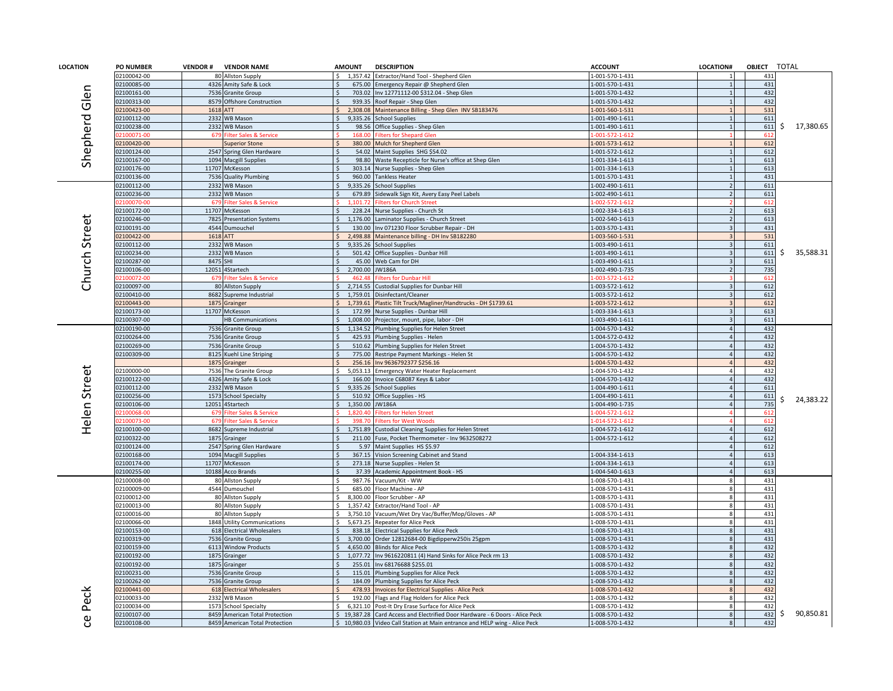| <b>LOCATION</b> | <b>PO NUMBER</b>           | <b>VENDOR#</b> | <b>VENDOR NAME</b>                           | <b>AMOUNT</b>                    | <b>DESCRIPTION</b>                                                       | <b>ACCOUNT</b>                     | LOCATION# | OBJECT TOTAL |                 |
|-----------------|----------------------------|----------------|----------------------------------------------|----------------------------------|--------------------------------------------------------------------------|------------------------------------|-----------|--------------|-----------------|
|                 | 02100042-00                |                | 80 Allston Supply                            | 1,357.42                         | Extractor/Hand Tool - Shepherd Glen                                      | 1-001-570-1-431                    |           | 431          |                 |
|                 | 02100085-00                | 4326           | Amity Safe & Lock                            | 675.00                           | Emergency Repair @ Shepherd Glen                                         | 1-001-570-1-431                    |           | 431          |                 |
|                 | 02100161-00                |                | 7536 Granite Group                           | 703.02                           | Inv 12771112-00 \$312.04 - Shep Glen                                     | -001-570-1-432                     |           | 432          |                 |
| Glen            | 02100313-00                |                | 8579 Offshore Construction                   | 939.35                           | Roof Repair - Shep Glen                                                  | 1-001-570-1-432                    |           | 432          |                 |
|                 | 02100423-00                | 1618           | <b>ATT</b>                                   | 2.308.08                         | Maintenance Billing - Shep Glen INV SB183476                             | 1-001-560-1-531                    |           | 531          |                 |
| Shepherd        | 02100112-00                |                | 2332 WB Mason                                | 9,335.26                         | <b>School Supplies</b>                                                   | -001-490-1-611                     |           | 611          |                 |
|                 | 02100238-00                |                | 2332 WB Mason                                | 98.56                            | Office Supplies - Shep Glen                                              | -001-490-1-611                     |           | 611          | 17,380.65<br>S. |
|                 | 2100071-00                 | 679            | Filter Sales & Service                       | 168.00                           | ilters for Shepard Glen                                                  | $-001 - 572 - 1 - 612$             |           | 612          |                 |
|                 | 02100420-00                |                | <b>Superior Stone</b>                        | 380.00                           | Mulch for Shepherd Glen                                                  | 1-001-573-1-612                    |           | 612          |                 |
|                 | 02100124-00                |                | 2547 Spring Glen Hardware                    | 54.02                            | Maint Supplies SHG \$54.02                                               | -001-572-1-612                     |           | 612          |                 |
|                 | 02100167-00                |                | 1094 Macgill Supplies                        | 98.80                            | Waste Recepticle for Nurse's office at Shep Glen                         | -001-334-1-613                     |           | 613          |                 |
|                 | 02100176-00                |                | 11707 McKesson                               | 303.14                           | Nurse Supplies - Shep Glen                                               | -001-334-1-613                     |           | 613          |                 |
|                 | 02100136-00                |                | 7536 Quality Plumbing                        | 960.00                           | <b>Tankless Heater</b>                                                   | 1-001-570-1-431                    |           | 431          |                 |
|                 | 02100112-00                |                | 2332 WB Mason                                | 9,335.26<br>$\zeta$              | <b>School Supplies</b>                                                   | 1-002-490-1-611                    |           | 611          |                 |
|                 | 02100236-00                |                | 2332 WB Mason                                | 679.89                           | Sidewalk Sign Kit, Avery Easy Peel Labels                                | 1-002-490-1-611                    |           | 611          |                 |
|                 | 100070-00                  | 679            | ilter Sales & Service                        | 1,101.72                         | ilters for Church Street                                                 | $-002 - 572 - 1 - 612$             |           | 612          |                 |
|                 | 02100172-00                |                | 11707 McKesson                               | 228.24                           | Nurse Supplies - Church St                                               | 1-002-334-1-613                    |           | 613          |                 |
| Church Street   | 02100246-00                |                | 7825 Presentation Systems                    | 1.176.00                         | Laminator Supplies - Church Street                                       | 1-002-540-1-613                    |           | 613          |                 |
|                 | 02100191-00                |                | 4544 Dumouchel                               | 130.00                           | nv 071230 Floor Scrubber Repair - DH                                     | 1-003-570-1-431                    |           | 431          |                 |
|                 | 02100422-00                | 1618 ATT       |                                              | 2,498.88                         | Maintenance billing - DH Inv SB182280                                    | 1-003-560-1-531                    |           | 531          |                 |
|                 | 02100112-00                |                | 2332 WB Mason                                | 9,335.26                         | <b>School Supplies</b>                                                   | -003-490-1-611                     |           | 611          |                 |
|                 | 02100234-00                |                | 2332 WB Mason                                | 501.42                           | Office Supplies - Dunbar Hill                                            | 1-003-490-1-611                    |           | 611          | 35,588.31<br>S. |
|                 | 02100287-00                | 8475 SHI       |                                              | 45.00                            | Web Cam for DH                                                           | 1-003-490-1-611                    |           | 611          |                 |
|                 | 02100106-00                |                | 12051 4Startech                              | 2,700.00                         | <b>JW186A</b>                                                            | -002-490-1-735                     |           | 735          |                 |
|                 | $100072 - 00$              | 679            | Filter Sales & Service                       | 462.48<br>Ŝ.                     | <b>Ilters for Dunbar Hill</b>                                            | $-003 - 572 - 1 - 612$             |           | 612<br>612   |                 |
|                 | 02100097-00<br>02100410-00 |                | 80 Allston Supply<br>8682 Supreme Industrial | 2,714.55<br>1,759.01<br>$\zeta$  | Custodial Supplies for Dunbar Hill<br>Disinfectant/Cleaner               | 1-003-572-1-612<br>1-003-572-1-612 |           | 612          |                 |
|                 | 2100443-00                 |                |                                              | 1,739.61                         |                                                                          |                                    |           |              |                 |
|                 |                            | 1875           | Grainger                                     |                                  | Plastic Tilt Truck/Magliner/Handtrucks - DH \$1739.61                    | -003-572-1-612                     |           | 612<br>613   |                 |
|                 | 02100173-00<br>02100307-00 |                | 11707 McKesson<br><b>HB Communications</b>   | 172.99<br>1,008.00               | Nurse Supplies - Dunbar Hill<br>Projector, mount, pipe, labor - DH       | -003-334-1-613<br>-003-490-1-611   |           | 611          |                 |
|                 |                            |                |                                              |                                  |                                                                          |                                    |           | 432          |                 |
|                 | 02100190-00<br>02100264-00 |                | 7536 Granite Group                           | 1,134.52<br>425.93               | Plumbing Supplies for Helen Street                                       | 1-004-570-1-432<br>-004-572-0-432  |           | 432          |                 |
|                 | 02100269-00                |                | 7536 Granite Group<br>7536 Granite Group     | 510.62                           | Plumbing Supplies - Helen<br>Plumbing Supplies for Helen Street          | 1-004-570-1-432                    |           | 432          |                 |
|                 | 02100309-00                |                | 8125 Kuehl Line Striping                     | 775.00                           | Restripe Payment Markings - Helen St                                     | 1-004-570-1-432                    |           | 432          |                 |
|                 |                            |                | 1875 Grainger                                | 256.16                           | Inv 9636792377 \$256.16                                                  | 1-004-570-1-432                    |           | 432          |                 |
|                 | 02100000-00                |                | 7536 The Granite Group                       | 5.053.13                         | Emergency Water Heater Replacement                                       | 1-004-570-1-432                    |           | 432          |                 |
|                 | 02100122-00                | 4326           | Amity Safe & Lock                            | 166.00                           | nvoice C68087 Keys & Labor                                               | -004-570-1-432                     |           | 432          |                 |
| Helen Street    | 02100112-00                |                | 2332 WB Mason                                | 9,335.26                         | <b>School Supplies</b>                                                   | 1-004-490-1-611                    |           | 611          |                 |
|                 | 02100256-00                |                | 1573 School Specialty                        | 510.92                           | Office Supplies - HS                                                     | $-004 - 490 - 1 - 611$             |           | 611          |                 |
|                 | 02100106-00                |                | 12051 4Startech                              | 1,350.00                         | <b>JW186A</b>                                                            | 1-004-490-1-735                    |           | 735          | 24,383.22       |
|                 | 100068-00                  | 67             | <b>Ilter Sales &amp; Service</b>             | 8204                             | <b>Iters for Helen Street</b>                                            | $-004 - 572 - 1 - 612$             |           | 61           |                 |
|                 | 2100073-00                 | 679            | <b>Iter Sales &amp; Service</b>              | 398.7                            | Iters for West Wood:                                                     | $-014 - 572 - 1 - 612$             |           | 61           |                 |
|                 | 02100100-00                |                | 8682 Supreme Industrial                      | $\mathsf{S}$<br>1,751.89         | Custodial Cleaning Supplies for Helen Street                             | 1-004-572-1-612                    |           | 612          |                 |
|                 | 02100322-00                |                | 1875 Grainger                                | 211.00<br>Ŝ.                     | Fuse, Pocket Thermometer - Inv 9632508272                                | 1-004-572-1-612                    |           | 612          |                 |
|                 | 02100124-00                |                | 2547 Spring Glen Hardware                    | 5.97                             | Maint Supplies HS \$5.97                                                 |                                    |           | 612          |                 |
|                 | 02100168-00                |                | 1094 Macgill Supplies                        | 367.15                           | Vision Screening Cabinet and Stand                                       | -004-334-1-613                     |           | 613          |                 |
|                 | 02100174-00                |                | 11707 McKesson                               | 273.18                           | Nurse Supplies - Helen St                                                | -004-334-1-613                     |           | 613          |                 |
|                 | 02100255-00                |                | 10188 Acco Brands                            | 37.39                            | Academic Appointment Book - HS                                           | -004-540-1-613                     |           | 613          |                 |
|                 | 02100008-00                |                | 80 Allston Supply                            | 987.76                           | Vacuum/Kit - WW                                                          | 1-008-570-1-431                    |           | 431          |                 |
|                 | 02100009-00                |                | 4544 Dumouchel                               | 685.00                           | Floor Machine - AP                                                       | -008-570-1-431                     |           | 431          |                 |
|                 | 02100012-00                |                | 80 Allston Supply                            | 8,300.00<br>Ŝ.                   | Floor Scrubber - AP                                                      | 1-008-570-1-431                    |           | 431          |                 |
|                 | 02100013-00                |                | 80 Allston Supply                            | 1,357.42<br><sup>\$</sup>        | Extractor/Hand Tool - AP                                                 | -008-570-1-431                     |           | 431          |                 |
|                 | 02100016-00                |                | 80 Allston Supply                            | <sup>\$</sup><br>3,750.10        | Vacuum/Wet Dry Vac/Buffer/Mop/Gloves - AP                                | 1-008-570-1-431                    |           | 431          |                 |
|                 | 02100066-00                |                | 1848 Utility Communications                  | $\ddot{\phantom{0}}$<br>5.673.25 | <b>Repeater for Alice Peck</b>                                           | 1-008-570-1-431                    |           | 431          |                 |
|                 | 02100153-00                | 618            | <b>Electrical Wholesalers</b>                | 838.18                           | lectrical Supplies for Alice Peck                                        | -008-570-1-431                     |           | 431          |                 |
|                 | 02100319-00                |                | 7536 Granite Group                           | 3.700.00                         | Order 12812684-00 Bigdipperw250is 25gpm                                  | -008-570-1-431                     |           | 431          |                 |
|                 | 02100159-00                |                | 6113 Window Products                         | 4,650.00<br>\$.                  | <b>Blinds for Alice Peck</b>                                             | -008-570-1-432                     |           | 432          |                 |
|                 | 02100192-00                | 1875           | Grainger                                     | 1,077.72                         | Inv 9616220811 (4) Hand Sinks for Alice Peck rm 13                       | 1-008-570-1-432                    |           | 432          |                 |
|                 | 02100192-00                | 1875           | Grainger                                     | 255.01                           | nv 68176688 \$255.01                                                     | 1-008-570-1-432                    |           | 432          |                 |
|                 | 02100231-00                | 7536           | <b>Granite Group</b>                         | 115.01                           | Plumbing Supplies for Alice Peck                                         | 1-008-570-1-432                    |           | 432          |                 |
|                 | 02100262-00                |                | 7536 Granite Group                           | $\mathsf{S}$<br>184.09           | Plumbing Supplies for Alice Peck                                         | 1-008-570-1-432                    |           | 432          |                 |
| Peck            | 02100441-00                |                | 618 Electrical Wholesalers                   | 478.93                           | Invoices for Electrical Supplies - Alice Peck                            | -008-570-1-432                     |           | 432          |                 |
|                 | 02100033-00                |                | 2332 WB Mason                                | 192.00<br><sup>\$</sup>          | Flags and Flag Holders for Alice Peck                                    | 1-008-570-1-432                    |           | 432          |                 |
|                 | 12100034-00                | 1573           | chool Specialty                              | 6,321.10                         | Post-It Dry Erase Surface for Alice Peck                                 | $-008 - 570 - 1 - 432$             |           | 432          |                 |
| Φ               | 02100107-00                | 8459           | American Total Protection                    | 19.387.28                        | Card Access and Electrified Door Hardware - 6 Doors - Alice Peck         | -008-570-1-432                     |           | 432          | 90,850.81<br>S. |
| ō               | 02100108-00                |                | 8459 American Total Protection               |                                  | 10,980.03 Video Call Station at Main entrance and HELP wing - Alice Peck | 1-008-570-1-432                    |           | 432          |                 |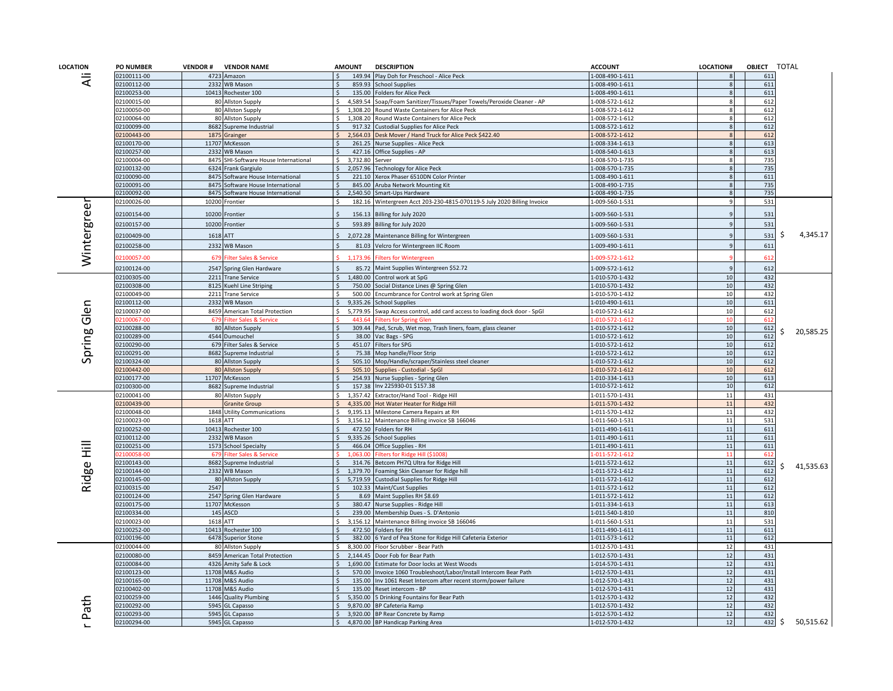| <b>LOCATION</b> | <b>PO NUMBER</b>          | <b>VENDOR#</b> | <b>VENDOR NAME</b>                      |                    | <b>AMOUNT</b>      | <b>DESCRIPTION</b>                                                        | <b>ACCOUNT</b>                                   | <b>LOCATION#</b> | OBJECT TOTAL |                |
|-----------------|---------------------------|----------------|-----------------------------------------|--------------------|--------------------|---------------------------------------------------------------------------|--------------------------------------------------|------------------|--------------|----------------|
| ₹               | 02100111-00               | 4723           | Amazon                                  |                    | 149.94             | Play Doh for Preschool - Alice Peck                                       | 1-008-490-1-611                                  |                  | 611          |                |
|                 | 2100112-00                | 2332           | <b>WB Mason</b>                         |                    | 859.93             | chool Supplies                                                            | $-008 - 490 - 1 - 611$                           |                  | 611          |                |
|                 | 2100253-00                |                | 10413 Rochester 100                     |                    | 135.00             | <b>Folders for Alice Peck</b>                                             | -008-490-1-611                                   |                  | 611          |                |
|                 | 2100015-00                |                | 80 Allston Supply                       | <sup>\$</sup>      | 4,589.54           | Soap/Foam Sanitizer/Tissues/Paper Towels/Peroxide Cleaner - AP            | -008-572-1-612                                   |                  | 612          |                |
|                 | 2100050-00                |                | 80 Allston Supply                       | <sup>\$</sup>      | 1,308.20           | Round Waste Containers for Alice Peck                                     | -008-572-1-612                                   |                  | 612          |                |
|                 | 2100064-00                |                | 80 Allston Supply                       | $\zeta$            | 1,308.20           | Round Waste Containers for Alice Peck                                     | $-008 - 572 - 1 - 612$                           |                  | 612          |                |
|                 | 2100099-00                |                | 8682 Supreme Industrial                 |                    | 917.32             | <b>Custodial Supplies for Alice Peck</b>                                  | $-008 - 572 - 1 - 612$                           |                  | 612          |                |
|                 | 2100443-00<br>12100170-00 |                | 1875 Grainger                           |                    | 2,564.03<br>261.25 | Desk Mover / Hand Truck for Alice Peck \$422.40                           | -008-572-1-612<br>$-008 - 334 - 1 - 613$         |                  | 612<br>613   |                |
|                 | 12100257-00               |                | 11707 McKesson<br>2332 WB Mason         |                    | 427.16             | Nurse Supplies - Alice Peck                                               | 1-008-540-1-613                                  |                  | 613          |                |
|                 | 2100004-00                | 8475           | SHI-Software House International        | $\leq$             | 3.732.80           | Office Supplies - AP<br>Server                                            | 1-008-570-1-735                                  |                  | 735          |                |
|                 | 2100132-00                | 6324           | Frank Gargiulo                          |                    | 2,057.96           | <b>Technology for Alice Peck</b>                                          | 1-008-570-1-735                                  |                  | 735          |                |
|                 | 12100090-00               |                | 8475 Software House International       |                    | 221.10             | Xerox Phaser 6510DN Color Printer                                         | 1-008-490-1-611                                  |                  | 611          |                |
|                 | 02100091-00               | 8475           | Software House International            | .\$                | 845.00             | Aruba Network Mounting Kit                                                | 1-008-490-1-735                                  |                  | 735          |                |
|                 | 02100092-00               | 8475           | Software House International            | \$                 | 2,540.50           | Smart-Ups Hardware                                                        | 1-008-490-1-735                                  |                  | 735          |                |
|                 | 02100026-00               | 10200          | Frontier                                | -Ś                 |                    | 182.16 Wintergreen Acct 203-230-4815-070119-5 July 2020 Billing Invoice   | 1-009-560-1-531                                  |                  | 531          |                |
|                 |                           |                |                                         |                    |                    |                                                                           |                                                  |                  |              |                |
|                 | 02100154-00               | 10200          | <b>Frontier</b>                         |                    | 156.13             | Billing for July 2020                                                     | $-009 - 560 - 1 - 531$                           |                  | 531          |                |
|                 | 02100157-00               |                | 10200 Frontier                          |                    | 593.89             | Billing for July 2020                                                     | -009-560-1-531                                   |                  | 531          |                |
|                 | 02100409-00               | 1618 ATT       |                                         |                    | 2,072.28           | Maintenance Billing for Wintergreen                                       | $-009 - 560 - 1 - 531$                           |                  | 531          | 4,345.17<br>-S |
|                 | 02100258-00               | 2332           | <b>WB Mason</b>                         |                    | 81.03              | Velcro for Wintergreen IIC Room                                           | -009-490-1-611                                   |                  | 611          |                |
| Wintergree      | 2100057-00                | 679            | <b>Ilter Sales &amp; Service</b>        |                    | 1,173.96           | ilters for Wintergreen                                                    | $-009 - 572 - 1 - 612$                           |                  | 612          |                |
|                 | 02100124-00               | 2547           | Spring Glen Hardware                    |                    | 85.72              | Maint Supplies Wintergreen \$52.72                                        | $-009 - 572 - 1 - 612$                           |                  | 612          |                |
|                 | 02100305-00               | 2211           | <b>Trane Service</b>                    | $\zeta$            | 1,480.00           | Control work at SpG                                                       | 1-010-570-1-432                                  | 10               | 432          |                |
|                 | 02100308-00               | 8125           | Kuehl Line Striping                     |                    | 750.00             | Social Distance Lines @ Spring Glen                                       | $-010 - 570 - 1 - 432$                           | 10               | 432          |                |
|                 | 2100049-00                |                | 2211 Trane Service                      |                    | 500.00             | Encumbrance for Control work at Spring Glen                               | -010-570-1-432                                   | 10               | 432          |                |
|                 | 2100112-00                |                | 2332 WB Mason                           |                    | 9.335.26           | <b>School Supplies</b>                                                    | $-010 - 490 - 1 - 611$                           | 10               | 611          |                |
| Spring Glen     | 2100037-00                |                | 8459 American Total Protection          |                    | 5,779.95           | Swap Access control, add card access to loading dock door - SpGI          | -010-572-1-612                                   | 10               | 612          |                |
|                 | 2100067-00                | 679            | ilter Sales & Service                   |                    | 443.64             | <b>Iters for Spring Gler</b>                                              | $-010 - 572 - 1 - 612$                           | 10               | 612          |                |
|                 | 02100288-00               |                | 80 Allston Supply                       |                    | 309.44             | Pad, Scrub, Wet mop, Trash liners, foam, glass cleaner                    | $-010 - 572 - 1 - 612$                           | 10               | 612          | 20,585.25      |
|                 | 02100289-00               |                | 4544 Dumouchel                          |                    |                    | 38.00 Vac Bags - SPG                                                      | 1-010-572-1-612                                  | 10               | 612          |                |
|                 | 02100290-00               |                | 679 Filter Sales & Service              | $\mathsf{\hat{S}}$ | 451.07             | Filters for SPG                                                           | $-010 - 572 - 1 - 612$                           | 10               | 612          |                |
|                 | 2100291-00                |                | 8682 Supreme Industrial                 |                    | 75.38<br>505.10    | Mop handle/Floor Strip                                                    | $-010 - 572 - 1 - 612$                           | 10<br>10         | 612          |                |
|                 | 2100324-00<br>2100442-00  | 80             | 80 Allston Supply                       |                    | 505.10             | Mop/Handle/scraper/Stainless steel cleaner<br>Supplies - Custodial - SpGl | $-010 - 572 - 1 - 612$<br>$-010 - 572 - 1 - 612$ | 10               | 612<br>612   |                |
|                 | 02100177-00               |                | <b>Allston Supply</b><br>11707 McKesson |                    | 254.93             | Nurse Supplies - Spring Glen                                              | -010-334-1-613                                   | 10               | 613          |                |
|                 | 02100300-00               |                | 8682 Supreme Industrial                 |                    | 157.38             | Inv 225930-01 \$157.38                                                    | 1-010-572-1-612                                  | 10               | 612          |                |
|                 | 02100041-00               |                | 80 Allston Supply                       | Ŝ.                 | 1,357.42           | Extractor/Hand Tool - Ridge Hill                                          | 1-011-570-1-431                                  | 11               | 431          |                |
|                 | 2100439-00                |                | Granite Group                           |                    | 4,335.00           | Hot Water Heater for Ridge Hill                                           | $-011 - 570 - 1 - 432$                           | 11               | 432          |                |
|                 | 02100048-00               | 1848           | <b>Utility Communications</b>           |                    | 9,195.13           | Milestone Camera Repairs at RH                                            | -011-570-1-432                                   | 11               | 432          |                |
|                 | 02100023-00               | 1618 ATT       |                                         | Ŝ.                 | 3,156.12           | Maintenance Billing invoice SB 166046                                     | -011-560-1-531                                   | 11               | 531          |                |
|                 | 02100252-00               |                | 10413 Rochester 100                     | Ŝ.                 | 472.50             | Folders for RH                                                            | 1-011-490-1-611                                  | 11               | 611          |                |
|                 | 02100112-00               |                | 2332 WB Mason                           | $\mathsf{S}$       | 9,335.26           | <b>School Supplies</b>                                                    | 1-011-490-1-611                                  | 11               | 611          |                |
|                 | 2100251-00                | 1573           | <b>School Specialty</b>                 |                    | 466.04             | Office Supplies - RH                                                      | $-011 - 490 - 1 - 611$                           | 11               | 611          |                |
| 亖               | 2100058-00                | 679            | ilter Sales & Service                   |                    | 063.00             | ilters for Ridge Hill (\$1008                                             | $-011 - 572 - 1 - 612$                           |                  | 612          |                |
| Ridge           | 02100143-00               |                | 8682 Supreme Industrial                 |                    | 314.76             | Betcom PH7Q Ultra for Ridge Hill                                          | $-011 - 572 - 1 - 612$                           | 11               | 612          | 41,535.63      |
|                 | 02100144-00               |                | 2332 WB Mason                           | Ŝ.                 | 1,379.70           | Foaming Skin Cleanser for Ridge hill                                      | 1-011-572-1-612                                  | 11               | 612          |                |
|                 | 02100145-00               | 80             | <b>Allston Supply</b>                   | $\mathsf{S}$       | 5,719.59           | <b>Custodial Supplies for Ridge Hill</b>                                  | 1-011-572-1-612                                  | 11               | 612          |                |
|                 | 2100315-00                | 2547           |                                         |                    | 102.33             | Maint/Cust Supplies                                                       | $-011 - 572 - 1 - 612$                           | 11               | 612          |                |
|                 | 2100124-00                |                | 2547 Spring Glen Hardware               | $\zeta$            | 8.69               | Maint Supplies RH \$8.69                                                  | $-011 - 572 - 1 - 612$                           | 11               | 612          |                |
|                 | 2100175-00<br>2100334-00  |                | 11707 McKesson                          |                    | 380.47<br>239.00   | Nurse Supplies - Ridge Hill                                               | $-011 - 334 - 1 - 613$                           | 11<br>11         | 613<br>810   |                |
|                 | 2100023-00                | 1618 ATT       | 145 ASCD                                | <sup>s</sup>       | 3,156.12           | Membership Dues - S. D'Antonio<br>Maintenance Billing invoice SB 166046   | -011-540-1-810<br>$-011 - 560 - 1 - 531$         | 11               | 531          |                |
|                 | 2100252-00                | 10413          | Rochester 100                           |                    | 472.50             | Folders for RH                                                            | $-011 - 490 - 1 - 611$                           | 11               | 611          |                |
|                 | 02100196-00               |                | 6478 Superior Stone                     |                    | 382.00             | 6 Yard of Pea Stone for Ridge Hill Cafeteria Exterior                     | 1-011-573-1-612                                  | 11               | 612          |                |
|                 | 02100044-00               |                | 80 Allston Supply                       |                    | 8,300.00           | Floor Scrubber - Bear Path                                                | 1-012-570-1-431                                  | 12               | 431          |                |
|                 | 12100080-00               |                | 8459 American Total Protection          |                    | 2,144.45           | Door Fob for Bear Path                                                    | 1-012-570-1-431                                  | 12               | 431          |                |
|                 | 12100084-00               | 4326           | Amity Safe & Lock                       |                    | 1,690.00           | Estimate for Door locks at West Woods                                     | -014-570-1-431                                   | 12               | 431          |                |
|                 | 02100123-00               |                | 11708 M&S Audio                         |                    | 570.00             | Invoice 1060 Troubleshoot/Labor/Install Intercom Bear Path                | 1-012-570-1-431                                  | 12               | 431          |                |
|                 | 2100165-00                | 11708          | M&S Audio                               | $\mathsf{S}$       | 135.00             | Inv 1061 Reset Intercom after recent storm/power failure                  | -012-570-1-431                                   | 12               | 431          |                |
|                 | 02100402-00               |                | 11708 M&S Audio                         |                    | 135.00             | Reset intercom - BP                                                       | -012-570-1-431                                   | 12               | 431          |                |
|                 | 12100259-00               | 1446           | <b>Quality Plumbing</b>                 |                    | 5,350.00           | 5 Drinking Fountains for Bear Path                                        | 1-012-570-1-432                                  | 12               | 432          |                |
| at              | 2100292-00                | 5945           | GL Capasso                              |                    | 9,870.00           | 3P Cafeteria Ramp                                                         | -012-570-1-432                                   | 12               | 432          |                |
| ൨               | 12100293-00               |                | 5945 GL Capasso                         |                    | 3,920.00           | BP Rear Concrete by Ramp                                                  | -012-570-1-432                                   | 12               | 432          |                |
|                 | 02100294-00               |                | 5945 GL Capasso                         |                    |                    | 4,870.00 BP Handicap Parking Area                                         | 1-012-570-1-432                                  | 12               | 432          | 50,515.62<br>S |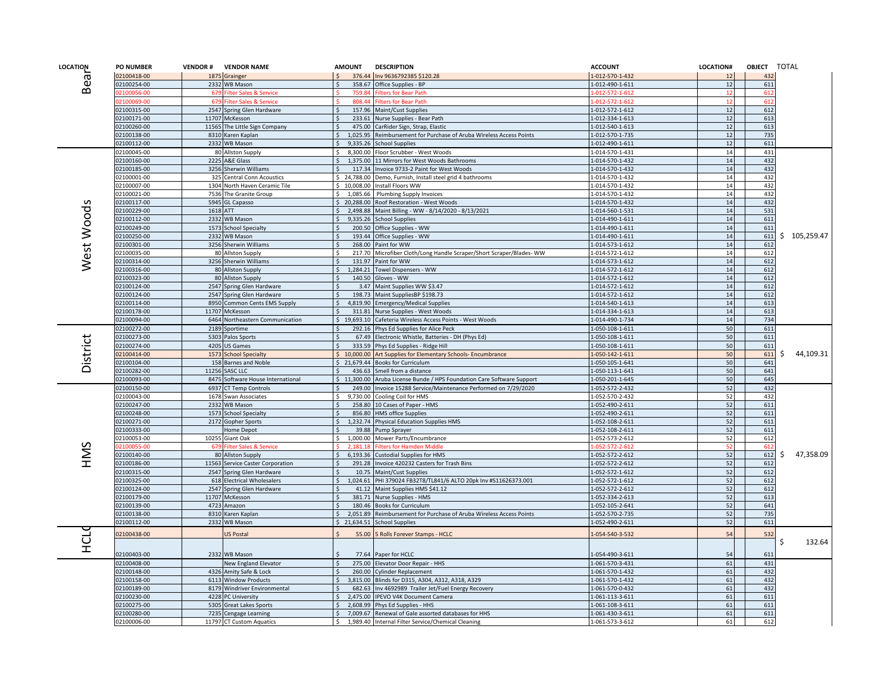|                                                                                                                                                                                                                                                                                                                                                                                                                                                                                                                                                                                                                           | <b>PO NUMBER</b> |                           | <b>VENDOR # VENDOR NAME</b>            | <b>AMOUNT</b> |                                            | <b>DESCRIPTION</b>                                                  | <b>ACCOUNT</b>                     | LOCATION# | OBJECT TOTAL |                 |  |  |  |  |
|---------------------------------------------------------------------------------------------------------------------------------------------------------------------------------------------------------------------------------------------------------------------------------------------------------------------------------------------------------------------------------------------------------------------------------------------------------------------------------------------------------------------------------------------------------------------------------------------------------------------------|------------------|---------------------------|----------------------------------------|---------------|--------------------------------------------|---------------------------------------------------------------------|------------------------------------|-----------|--------------|-----------------|--|--|--|--|
|                                                                                                                                                                                                                                                                                                                                                                                                                                                                                                                                                                                                                           | 02100418-00      |                           | 1875 Grainger                          |               | 376.44                                     | Inv 9636792385 \$120.28                                             | -012-570-1-432                     | 12        | 432          |                 |  |  |  |  |
|                                                                                                                                                                                                                                                                                                                                                                                                                                                                                                                                                                                                                           | 02100254-00      |                           | 2332 WB Mason                          |               | 358.67                                     | Office Supplies - BP                                                | 1-012-490-1-611                    | 12        | 611          |                 |  |  |  |  |
|                                                                                                                                                                                                                                                                                                                                                                                                                                                                                                                                                                                                                           | 2100056-00       | 679                       | <b>Filter Sales &amp; Service</b>      |               | 759.84                                     | <b>Filters for Bear Path</b>                                        | -012-572-1-612                     |           | 612          |                 |  |  |  |  |
|                                                                                                                                                                                                                                                                                                                                                                                                                                                                                                                                                                                                                           | 2100069-00       | 679                       | <b>Filter Sales &amp; Service</b>      |               | 808.44                                     | ilters for Bear Path                                                | $-012 - 572 - 1 - 612$             | 12        | 612          |                 |  |  |  |  |
|                                                                                                                                                                                                                                                                                                                                                                                                                                                                                                                                                                                                                           | 02100315-00      |                           | 2547 Spring Glen Hardware              |               | 157.96                                     | Maint/Cust Supplies                                                 | 1-012-572-1-612                    | 12        | 612          |                 |  |  |  |  |
|                                                                                                                                                                                                                                                                                                                                                                                                                                                                                                                                                                                                                           | 02100171-00      |                           | 11707 McKesson                         |               | 233.61                                     | Nurse Supplies - Bear Path                                          | 1-012-334-1-613                    | 12        | 613          |                 |  |  |  |  |
| LOCATION<br>Bea<br>S<br>West Wood<br>District<br>SMH                                                                                                                                                                                                                                                                                                                                                                                                                                                                                                                                                                      | 02100260-00      |                           | 11565 The Little Sign Company          |               |                                            | 475.00 CarRider Sign, Strap, Elastic                                | 1-012-540-1-613                    | 12        | 613          |                 |  |  |  |  |
|                                                                                                                                                                                                                                                                                                                                                                                                                                                                                                                                                                                                                           | 02100138-00      |                           | 8310 Karen Kaplan                      | $\mathsf{S}$  | 1,025.95                                   | Reimbursement for Purchase of Aruba Wireless Access Points          | 1-012-570-1-735                    | 12        | 735          |                 |  |  |  |  |
|                                                                                                                                                                                                                                                                                                                                                                                                                                                                                                                                                                                                                           | 02100112-00      |                           | 2332 WB Mason                          |               | 9,335.26                                   | <b>School Supplies</b>                                              | 1-012-490-1-611                    | 12        | 611          |                 |  |  |  |  |
|                                                                                                                                                                                                                                                                                                                                                                                                                                                                                                                                                                                                                           | 02100045-00      |                           | 80 Allston Supply                      |               |                                            | 8,300.00 Floor Scrubber - West Woods                                | 1-014-570-1-431                    | 14        | 431          |                 |  |  |  |  |
|                                                                                                                                                                                                                                                                                                                                                                                                                                                                                                                                                                                                                           |                  |                           | 2225 A&E Glass                         |               |                                            | 1,375.00 11 Mirrors for West Woods Bathrooms                        | 1-014-570-1-432                    | 14        | 432          |                 |  |  |  |  |
|                                                                                                                                                                                                                                                                                                                                                                                                                                                                                                                                                                                                                           |                  |                           | 3256 Sherwin Williams                  |               | 117.34                                     | Invoice 9733-2 Paint for West Woods                                 | 1-014-570-1-432                    | 14        | 432          |                 |  |  |  |  |
|                                                                                                                                                                                                                                                                                                                                                                                                                                                                                                                                                                                                                           |                  |                           | 325 Central Conn Acoustics             |               | 24,788.00                                  | Demo, Furnish, Install steel grid 4 bathrooms                       | 1-014-570-1-432                    | 14        | 432          |                 |  |  |  |  |
|                                                                                                                                                                                                                                                                                                                                                                                                                                                                                                                                                                                                                           |                  |                           | 1304 North Haven Ceramic Tile          |               |                                            | 10,008.00 Install Floors WW                                         | 1-014-570-1-432                    | 14        | 432          |                 |  |  |  |  |
|                                                                                                                                                                                                                                                                                                                                                                                                                                                                                                                                                                                                                           |                  |                           | 7536 The Granite Group                 |               |                                            | 1,085.66 Plumbing Supply Invoices                                   | 1-014-570-1-432                    | 14        | 432          |                 |  |  |  |  |
|                                                                                                                                                                                                                                                                                                                                                                                                                                                                                                                                                                                                                           |                  |                           | 5945 GL Capasso                        |               |                                            | \$20,288.00 Roof Restoration - West Woods                           | 1-014-570-1-432                    | 14        | 432          |                 |  |  |  |  |
|                                                                                                                                                                                                                                                                                                                                                                                                                                                                                                                                                                                                                           |                  |                           | 1618 ATT                               |               |                                            | 2,498.88 Maint Billing - WW - 8/14/2020 - 8/13/2021                 | 1-014-560-1-531                    | 14        | 531          |                 |  |  |  |  |
|                                                                                                                                                                                                                                                                                                                                                                                                                                                                                                                                                                                                                           |                  |                           | 2332 WB Mason                          |               |                                            | 9,335.26 School Supplies                                            | 1-014-490-1-611                    | 14<br>14  | 611<br>611   |                 |  |  |  |  |
|                                                                                                                                                                                                                                                                                                                                                                                                                                                                                                                                                                                                                           |                  |                           | 1573 School Specialty                  |               | 200.50                                     | Office Supplies - WW                                                | 1-014-490-1-611<br>1-014-490-1-611 | 14        | 611          | \$105,259.47    |  |  |  |  |
|                                                                                                                                                                                                                                                                                                                                                                                                                                                                                                                                                                                                                           |                  |                           | 2332 WB Mason<br>3256 Sherwin Williams |               |                                            | 193.44 Office Supplies - WW<br>268.00 Paint for WW                  | 1-014-573-1-612                    | 14        | 612          |                 |  |  |  |  |
|                                                                                                                                                                                                                                                                                                                                                                                                                                                                                                                                                                                                                           |                  |                           | 80 Allston Supply                      |               |                                            | 217.70 Microfiber Cloth/Long Handle Scraper/Short Scraper/Blades-WW | 1-014-572-1-612                    | 14        | 612          |                 |  |  |  |  |
|                                                                                                                                                                                                                                                                                                                                                                                                                                                                                                                                                                                                                           |                  |                           | 3256 Sherwin Williams                  |               | 131.97                                     | Paint for WW                                                        | 1-014-573-1-612                    | 14        | 612          |                 |  |  |  |  |
|                                                                                                                                                                                                                                                                                                                                                                                                                                                                                                                                                                                                                           |                  |                           | 80 Allston Supply                      | $\mathsf{S}$  |                                            | 1,284.21 Towel Dispensers - WW                                      | 1-014-572-1-612                    | 14        | 612          |                 |  |  |  |  |
|                                                                                                                                                                                                                                                                                                                                                                                                                                                                                                                                                                                                                           |                  |                           | 80 Allston Supply                      |               |                                            | 140.50 Gloves - WW                                                  | 1-014-572-1-612                    | 14        | 612          |                 |  |  |  |  |
|                                                                                                                                                                                                                                                                                                                                                                                                                                                                                                                                                                                                                           |                  |                           | 2547 Spring Glen Hardware              |               |                                            | 3.47 Maint Supplies WW \$3.47                                       | 1-014-572-1-612                    | 14        | 612          |                 |  |  |  |  |
|                                                                                                                                                                                                                                                                                                                                                                                                                                                                                                                                                                                                                           |                  |                           | 2547 Spring Glen Hardware              |               | 198.73                                     | Maint SuppliesBP \$198.73                                           | 1-014-572-1-612                    | 14        | 612          |                 |  |  |  |  |
|                                                                                                                                                                                                                                                                                                                                                                                                                                                                                                                                                                                                                           |                  |                           | 8950 Common Cents EMS Supply           |               | 4,819.90                                   | <b>Emergency/Medical Supplies</b>                                   | 1-014-540-1-613                    | 14        | 613          |                 |  |  |  |  |
|                                                                                                                                                                                                                                                                                                                                                                                                                                                                                                                                                                                                                           |                  |                           | 11707 McKesson                         |               | 311.81                                     | Nurse Supplies - West Woods                                         | -014-334-1-613                     | 14        | 613          |                 |  |  |  |  |
|                                                                                                                                                                                                                                                                                                                                                                                                                                                                                                                                                                                                                           |                  |                           | 6464 Northeastern Communication        |               |                                            | \$19,693.10 Cafeteria Wireless Access Points - West Woods           | 1-014-490-1-734                    | 14        | 734          |                 |  |  |  |  |
|                                                                                                                                                                                                                                                                                                                                                                                                                                                                                                                                                                                                                           |                  |                           | 2189 Sportime                          |               | 292.16                                     | Phys Ed Supplies for Alice Peck                                     | 1-050-108-1-611                    | 50        | 611          |                 |  |  |  |  |
|                                                                                                                                                                                                                                                                                                                                                                                                                                                                                                                                                                                                                           |                  |                           | 5303 Palos Sports                      |               | 67.49                                      | Electronic Whistle, Batteries - DH (Phys Ed)                        | 1-050-108-1-611                    | 50        | 611          |                 |  |  |  |  |
|                                                                                                                                                                                                                                                                                                                                                                                                                                                                                                                                                                                                                           | 02100274-00      |                           | 4205 US Games                          |               | 333.59                                     | Phys Ed Supplies - Ridge Hill                                       | L-050-108-1-611                    | 50        | 611          |                 |  |  |  |  |
|                                                                                                                                                                                                                                                                                                                                                                                                                                                                                                                                                                                                                           | 02100414-00      |                           | 1573 School Specialty                  |               |                                            | \$ 10,000.00 Art Supplies for Elementary Schools- Encumbrance       | 1-050-142-1-611                    | 50        | 611          | 44,109.31<br>S. |  |  |  |  |
|                                                                                                                                                                                                                                                                                                                                                                                                                                                                                                                                                                                                                           | 02100104-00      |                           | 158 Barnes and Noble                   |               |                                            | \$21,679.44 Books for Curriculum                                    | 1-050-105-1-641                    | 50        | 641          |                 |  |  |  |  |
|                                                                                                                                                                                                                                                                                                                                                                                                                                                                                                                                                                                                                           | 02100282-00      |                           | 11256 SASC LLC                         |               | 436.63                                     | Smell from a distance                                               | 1-050-113-1-641                    | 50        | 641          |                 |  |  |  |  |
|                                                                                                                                                                                                                                                                                                                                                                                                                                                                                                                                                                                                                           | 02100093-00      |                           | 8475 Software House International      |               | \$11,300.00                                | Aruba License Bunde / HPS Foundation Care Software Support          | 1-050-201-1-645                    | 50        | 645          |                 |  |  |  |  |
|                                                                                                                                                                                                                                                                                                                                                                                                                                                                                                                                                                                                                           | 02100150-00      |                           | 6937 CT Temp Controls                  |               |                                            | 249.00 Invoice 15288 Service/Maintenance Performed on 7/29/2020     | 1-052-572-2-432                    | 52        | 432          |                 |  |  |  |  |
|                                                                                                                                                                                                                                                                                                                                                                                                                                                                                                                                                                                                                           | 02100043-00      |                           | 1678 Swan Associates                   | Ŝ.            | 9,730.00                                   | Cooling Coil for HMS                                                | 1-052-570-2-432                    | 52        | 432          |                 |  |  |  |  |
|                                                                                                                                                                                                                                                                                                                                                                                                                                                                                                                                                                                                                           | 02100247-00      |                           | 2332 WB Mason                          |               | 258.80                                     | 10 Cases of Paper - HMS                                             | 1-052-490-2-611                    | 52        | 611          |                 |  |  |  |  |
|                                                                                                                                                                                                                                                                                                                                                                                                                                                                                                                                                                                                                           | 02100248-00      |                           | 1573 School Specialty                  | $\zeta$       | 856.80                                     | <b>HMS office Supplies</b>                                          | 1-052-490-2-611                    | 52        | 611          |                 |  |  |  |  |
|                                                                                                                                                                                                                                                                                                                                                                                                                                                                                                                                                                                                                           | 02100271-00      |                           | 2172 Gopher Sports                     |               |                                            | 1,232.74 Physical Education Supplies HMS                            | 1-052-108-2-611                    | 52        | 611          |                 |  |  |  |  |
|                                                                                                                                                                                                                                                                                                                                                                                                                                                                                                                                                                                                                           | 02100333-00      |                           | Home Depot                             |               | 39.88                                      | Pump Sprayer                                                        | 1-052-108-2-611                    | 52        | 611          |                 |  |  |  |  |
|                                                                                                                                                                                                                                                                                                                                                                                                                                                                                                                                                                                                                           |                  | 10255                     | Giant Oak                              | $\zeta$       |                                            | 1,000.00 Mower Parts/Encumbrance                                    | 1-052-573-2-612                    | 52        | 612          |                 |  |  |  |  |
|                                                                                                                                                                                                                                                                                                                                                                                                                                                                                                                                                                                                                           |                  | 679                       | <b>ilter Sales &amp; Service</b>       |               | 181 15                                     | ilters for Hamden Middl                                             | $-052 - 572 - 2 - 612$             |           | 612          |                 |  |  |  |  |
|                                                                                                                                                                                                                                                                                                                                                                                                                                                                                                                                                                                                                           |                  |                           | 80 Allston Supply                      |               | 6,193.36                                   | <b>Custodial Supplies for HMS</b>                                   | 1-052-572-2-612                    | 52        | 612          | 47,358.09       |  |  |  |  |
|                                                                                                                                                                                                                                                                                                                                                                                                                                                                                                                                                                                                                           |                  |                           | 11563 Service Caster Corporation       |               |                                            | 291.28 Invoice 420232 Casters for Trash Bins                        | 1-052-572-2-612                    | 52        | 612          |                 |  |  |  |  |
|                                                                                                                                                                                                                                                                                                                                                                                                                                                                                                                                                                                                                           |                  |                           | 2547 Spring Glen Hardware              |               | 10.75                                      | Maint/Cust Supplies                                                 | 1-052-572-1-612                    | 52        | 612          |                 |  |  |  |  |
|                                                                                                                                                                                                                                                                                                                                                                                                                                                                                                                                                                                                                           |                  |                           | 618 Electrical Wholesalers             |               |                                            | 1,024.61 PHI 379024 FB32T8/TL841/6 ALTO 20pk Inv #S11626373.001     | 1-052-572-1-612                    | 52        | 612          |                 |  |  |  |  |
|                                                                                                                                                                                                                                                                                                                                                                                                                                                                                                                                                                                                                           |                  |                           | 2547 Spring Glen Hardware              |               |                                            | 41.12 Maint Supplies HMS \$41.12                                    | 1-052-572-2-612                    | 52        | 612          |                 |  |  |  |  |
|                                                                                                                                                                                                                                                                                                                                                                                                                                                                                                                                                                                                                           |                  |                           | 11707 McKesson                         |               |                                            | 381.71 Nurse Supplies - HMS                                         | 1-052-334-2-613                    | 52        | 613<br>641   |                 |  |  |  |  |
|                                                                                                                                                                                                                                                                                                                                                                                                                                                                                                                                                                                                                           |                  |                           | 4723 Amazon                            |               | 2.051.89                                   | 180.46 Books for Curriculum                                         | 1-052-105-2-641<br>1-052-570-2-735 | 52<br>52  | 735          |                 |  |  |  |  |
|                                                                                                                                                                                                                                                                                                                                                                                                                                                                                                                                                                                                                           |                  |                           | 8310 Karen Kaplan                      |               | 21,634.51                                  | Reimbursement for Purchase of Aruba Wireless Access Points          |                                    | 52        | 611          |                 |  |  |  |  |
|                                                                                                                                                                                                                                                                                                                                                                                                                                                                                                                                                                                                                           |                  |                           | 2332 WB Mason                          |               |                                            | <b>School Supplies</b>                                              | 1-052-490-2-611                    |           |              |                 |  |  |  |  |
|                                                                                                                                                                                                                                                                                                                                                                                                                                                                                                                                                                                                                           |                  |                           | US Postal                              |               | 55.00                                      | 5 Rolls Forever Stamps - HCLC                                       | 1-054-540-3-532                    | 54        | 532          |                 |  |  |  |  |
|                                                                                                                                                                                                                                                                                                                                                                                                                                                                                                                                                                                                                           |                  |                           |                                        |               |                                            |                                                                     |                                    |           |              | 132.64<br>S     |  |  |  |  |
|                                                                                                                                                                                                                                                                                                                                                                                                                                                                                                                                                                                                                           |                  |                           | 2332 WB Mason                          |               | 77.64                                      | Paper for HCLC                                                      | 1-054-490-3-611                    | 54        | 611          |                 |  |  |  |  |
|                                                                                                                                                                                                                                                                                                                                                                                                                                                                                                                                                                                                                           |                  |                           | New England Elevator                   |               | 275.00                                     | Elevator Door Repair - HHS                                          | 1-061-570-3-431                    | 61        | 431          |                 |  |  |  |  |
|                                                                                                                                                                                                                                                                                                                                                                                                                                                                                                                                                                                                                           | 02100148-00      |                           | 4326 Amity Safe & Lock                 |               | 260.00                                     | <b>Cylinder Replacement</b>                                         | 1-061-570-1-432                    | 61        | 432          |                 |  |  |  |  |
|                                                                                                                                                                                                                                                                                                                                                                                                                                                                                                                                                                                                                           | 02100158-00      |                           | 6113 Window Products                   |               | 3,815.00                                   | Blinds for D315, A304, A312, A318, A329                             | 1-061-570-1-432                    | 61        | 432          |                 |  |  |  |  |
|                                                                                                                                                                                                                                                                                                                                                                                                                                                                                                                                                                                                                           | 02100189-00      |                           | 8179 Windriver Environmental           |               |                                            | 682.63 Inv 4692989 Trailer Jet/Fuel Energy Recovery                 | 1-061-570-0-432                    | 61        | 432          |                 |  |  |  |  |
| 02100160-00<br>02100185-00<br>02100001-00<br>02100007-00<br>02100021-00<br>02100117-00<br>02100229-00<br>02100112-00<br>02100249-00<br>02100250-00<br>02100301-00<br>02100035-00<br>02100314-00<br>02100316-00<br>02100323-00<br>02100124-00<br>02100124-00<br>02100114-00<br>02100178-00<br>02100094-00<br>02100272-00<br>02100273-00<br>02100053-00<br>12100055-00<br>02100140-00<br>02100186-00<br>02100315-00<br>02100325-00<br>02100124-00<br>02100179-00<br>02100139-00<br>02100138-00<br>02100112-00<br>02100438-00<br>ЭH<br>02100403-00<br>02100408-00<br>02100230-00<br>2100275-00<br>02100280-00<br>02100006-00 |                  | 4228 PC University        | $\mathsf{S}$                           | 2,475.00      | <b>IPEVO V4K Document Camera</b>           | 1-061-113-3-611                                                     | 61                                 | 611       |              |                 |  |  |  |  |
|                                                                                                                                                                                                                                                                                                                                                                                                                                                                                                                                                                                                                           | 5305             | <b>Great Lakes Sports</b> |                                        | 2,608.99      | Phys Ed Supplies - HHS                     | 1-061-108-3-611                                                     | 61                                 | 611       |              |                 |  |  |  |  |
|                                                                                                                                                                                                                                                                                                                                                                                                                                                                                                                                                                                                                           |                  | 7235 Cengage Learning     |                                        | 7.009.67      | Renewal of Gale assorted databases for HHS | 1-061-430-3-611                                                     | 61                                 | 611       |              |                 |  |  |  |  |
|                                                                                                                                                                                                                                                                                                                                                                                                                                                                                                                                                                                                                           |                  |                           | 11797 CT Custom Aquatics               |               |                                            | 1,989.40 Internal Filter Service/Chemical Cleaning                  | 1-061-573-3-612                    | 61        | 612          |                 |  |  |  |  |
|                                                                                                                                                                                                                                                                                                                                                                                                                                                                                                                                                                                                                           |                  |                           |                                        |               |                                            |                                                                     |                                    |           |              |                 |  |  |  |  |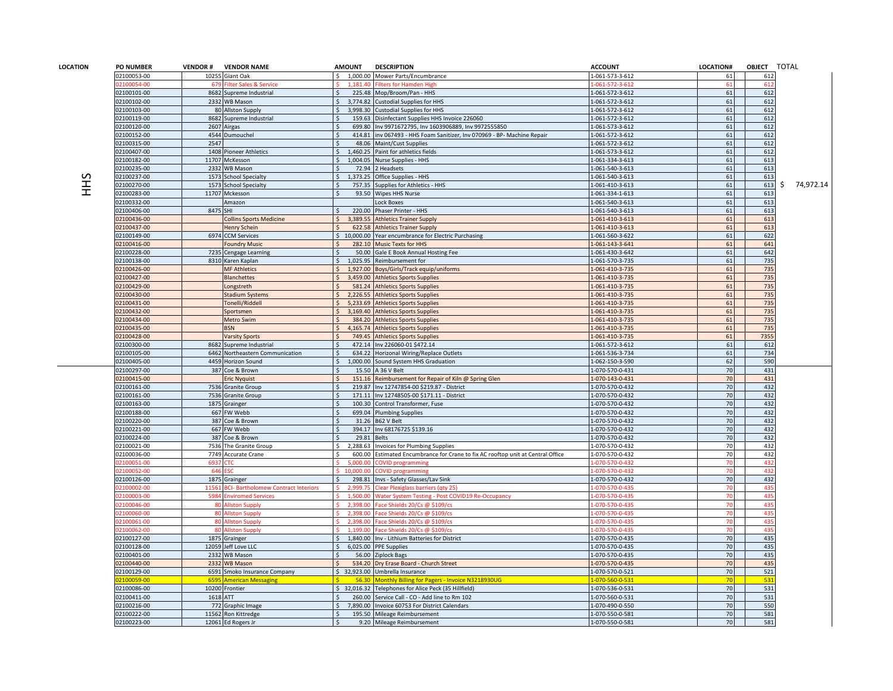| LOCATION | <b>PO NUMBER</b>         | <b>VENDOR#</b> | <b>VENDOR NAME</b>                             | <b>AMOUNT</b> |                      | <b>DESCRIPTION</b>                                                       | <b>ACCOUNT</b>                    | LOCATION# | OBJECT TOTAL |    |           |
|----------|--------------------------|----------------|------------------------------------------------|---------------|----------------------|--------------------------------------------------------------------------|-----------------------------------|-----------|--------------|----|-----------|
|          | 02100053-00              |                | 10255 Giant Oak                                | Ś.            |                      | 1,000.00 Mower Parts/Encumbrance                                         | 1-061-573-3-612                   | 61        | 612          |    |           |
|          | 2100054-00               |                |                                                |               |                      | ilters for Hamden Hig                                                    | $-061 - 572 - 3 - 61$             |           | 61           |    |           |
|          | 02100101-00              |                | 8682 Supreme Industrial                        |               | 225.48               | Mop/Broom/Pan - HHS                                                      | 1-061-572-3-612                   | 61        | 612          |    |           |
|          | 02100102-00              |                | 2332 WB Mason                                  |               | 3.774.82             | <b>Custodial Supplies for HHS</b>                                        | 1-061-572-3-612                   | 61        | 612          |    |           |
|          | 02100103-00              |                | 80 Allston Supply                              |               | 3,998.30             | <b>Custodial Supplies for HHS</b>                                        | 1-061-572-3-612                   | 61        | 612          |    |           |
|          | 02100119-00              |                | 8682 Supreme Industrial                        |               | 159.63               | Disinfectant Supplies HHS Invoice 226060                                 | 1-061-572-3-612                   | 61        | 612          |    |           |
|          | 02100120-00              |                | 2607 Airgas                                    |               | 699.80               | Inv 9971672795, Inv 1603906889, Inv 9972555850                           | 1-061-573-3-612                   | 61        | 612          |    |           |
|          | 02100152-00              |                | 4544 Dumouchel                                 |               | 414.81               | inv 067493 - HHS Foam Sanitizer, Inv 070969 - BP- Machine Repair         | 1-061-572-3-612                   | 61        | 612          |    |           |
|          |                          | 2547           |                                                |               | 48.06                |                                                                          |                                   |           | 612          |    |           |
|          | 02100315-00              |                |                                                |               |                      | Maint/Cust Supplies                                                      | 1-061-572-3-612                   | 61        |              |    |           |
|          | 02100407-00              |                | 1408 Pioneer Athletics                         |               | 1,460.25             | Paint for athletics fields                                               | 1-061-573-3-612                   | 61        | 612          |    |           |
|          | 02100182-00              |                | 11707 McKesson                                 |               | 1,004.05             | Nurse Supplies - HHS                                                     | 1-061-334-3-613                   | 61        | 613          |    |           |
|          | 2100235-00               | 2332           | <b>WB Mason</b>                                |               | 72.94                | <b>Headsets</b>                                                          | 1-061-540-3-613                   | 61        | 613          |    |           |
| 3HH      | 02100237-00              |                | 1573 School Specialty                          | Ś.            | 1,373.25             | Office Supplies - HHS                                                    | 1-061-540-3-613                   | 61        | 613          |    |           |
|          | 02100270-00              |                | 1573 School Specialty                          |               | 757.35               | Supplies for Athletics - HHS                                             | 1-061-410-3-613                   | 61        | 613          | S. | 74,972.14 |
|          | 02100283-00              |                | 11707 Mckesson                                 |               |                      | 93.50 Wipes HHS Nurse                                                    | 1-061-334-1-613                   | 61        | 613          |    |           |
|          | 02100332-00              |                | Amazon                                         |               |                      | ock Boxes                                                                | 1-061-540-3-613                   | 61        | 613          |    |           |
|          | 02100406-00              | 8475 SHI       |                                                |               | 220.00               | Phaser Printer - HHS                                                     | 1-061-540-3-613                   | 61        | 613          |    |           |
|          | 02100436-00              |                | <b>Collins Sports Medicine</b>                 |               | 3,389.55             | <b>Athletics Trainer Supply</b>                                          | 1-061-410-3-613                   | 61        | 613          |    |           |
|          | 02100437-00              |                | <b>Henry Schein</b>                            |               | 622.58               | <b>Athletics Trainer Supply</b>                                          | 1-061-410-3-613                   | 61        | 613          |    |           |
|          | 02100149-00              |                | 6974 CCM Services                              |               | \$10,000.00          | Year encumbrance for Electric Purchasing                                 | 1-061-560-3-622                   | 61        | 622          |    |           |
|          | 02100416-00              |                | <b>Foundry Music</b>                           |               | 282.10               | <b>Music Texts for HHS</b>                                               | 1-061-143-3-641                   | 61        | 641          |    |           |
|          | 02100228-00              |                | 7235 Cengage Learning                          |               | 50.00                | Gale E Book Annual Hosting Fee                                           | 1-061-430-3-642                   | 61        | 642          |    |           |
|          | 02100138-00              |                | 8310 Karen Kaplan                              |               | 1,025.95             | Reimbursement for                                                        | 1-061-570-3-735                   | 61        | 735          |    |           |
|          | 02100426-00              |                | <b>MF Athletics</b>                            |               | 1,927.00             | Boys/Girls/Track equip/uniforms                                          | L-061-410-3-735                   | 61        | 735          |    |           |
|          | 02100427-00              |                | <b>Blanchettes</b>                             |               | 3,459.00             | <b>Athletics Sports Supplies</b>                                         | 1-061-410-3-735                   | 61        | 735          |    |           |
|          | 02100429-00              |                | Longstreth                                     |               | 581.24               | <b>Athletics Sports Supplies</b>                                         | 1-061-410-3-735                   | 61        | 735          |    |           |
|          | 02100430-00              |                | <b>Stadium Systems</b>                         |               | 2,226.55             | <b>Athletics Sports Supplies</b>                                         | 1-061-410-3-735                   | 61        | 735          |    |           |
|          | 02100431-00              |                | Tonelli/Riddell                                |               | 5.233.69             |                                                                          | 1-061-410-3-735                   | 61        | 735          |    |           |
|          |                          |                |                                                |               | 3,169.40             | <b>Athletics Sports Supplies</b>                                         |                                   | 61        | 735          |    |           |
|          | 02100432-00              |                | Sportsmen                                      |               |                      | <b>Athletics Sports Supplies</b>                                         | L-061-410-3-735                   |           |              |    |           |
|          | 02100434-00              |                | Metro Swim                                     |               | 384.20               | <b>Athletics Sports Supplies</b>                                         | 1-061-410-3-735                   | 61        | 735          |    |           |
|          | 02100435-00              |                | <b>BSN</b>                                     |               |                      | 4,165.74 Athletics Sports Supplies                                       | 1-061-410-3-735                   | 61        | 735          |    |           |
|          | 02100428-00              |                | <b>Varsity Sports</b>                          |               | 749.45               | <b>Athletics Sports Supplies</b>                                         | 1-061-410-3-735                   | 61        | 7355         |    |           |
|          | 02100300-00              |                | 8682 Supreme Industrial                        |               | 472.14               | Inv 226060-01 \$472.14                                                   | 1-061-572-3-612                   | 61        | 612          |    |           |
|          | 02100105-00              |                | 6462 Northeastern Communication                |               | 634.22               | Horizonal Wiring/Replace Outlets                                         | 1-061-536-3-734                   | 61        | 734          |    |           |
|          | 02100405-00              |                | 4459 Horizon Sound                             | \$            |                      | 1,000.00 Sound System HHS Graduation                                     | 1-062-150-3-590                   | 62        | 590          |    |           |
|          | 02100297-00              |                | 387 Coe & Brown                                |               | 15.50                | A 36 V Belt                                                              | 1-070-570-0-431                   | 70        | 431          |    |           |
|          | 02100415-00              |                | <b>Eric Nyquist</b>                            |               | 151.16               | Reimbursement for Repair of Kiln @ Spring Glen                           | 1-070-143-0-431                   | 70        | 431          |    |           |
|          | 02100161-00              |                | 7536 Granite Group                             |               | 219.87               | Inv 12747854-00 \$219.87 - District                                      | 1-070-570-0-432                   | 70        | 432          |    |           |
|          | 02100161-00              |                | 7536 Granite Group                             |               |                      | 171.11 Inv 12748505-00 \$171.11 - District                               | L-070-570-0-432                   | 70        | 432          |    |           |
|          | 02100163-00              |                | 1875 Grainger                                  |               | 100.30               | Control Transformer, Fuse                                                | 1-070-570-0-432                   | 70        | 432          |    |           |
|          | 02100188-00              |                | 667 FW Webb                                    |               |                      | 699.04 Plumbing Supplies                                                 | L-070-570-0-432                   | 70        | 432          |    |           |
|          | 02100220-00              |                | 387 Coe & Brown                                |               | 31.26                | 362 V Belt                                                               | 1-070-570-0-432                   | 70        | 432          |    |           |
|          | 02100221-00              |                | 667 FW Webb                                    |               | 394.17               | Inv 68176725 \$139.16                                                    | 1-070-570-0-432                   | 70        | 432          |    |           |
|          | 02100224-00              |                | 387 Coe & Brown                                |               | 29.81                | <b>Belts</b>                                                             | 1-070-570-0-432                   | 70        | 432          |    |           |
|          | 02100021-00              |                | 7536 The Granite Group                         | ς.            | 2,288.63             | Invoices for Plumbing Supplies                                           | 1-070-570-0-432                   | 70        | 432          |    |           |
|          | 02100036-00              |                | 7749 Accurate Crane                            |               | 600.00               | Estimated Encumbrance for Crane to fix AC rooftop unit at Central Office | L-070-570-0-432                   | 70        | 432          |    |           |
|          | 2100051-00               | 693            |                                                |               |                      | JVID programmir                                                          | $-070 - 570 - 0 - 43$             |           | 43           |    |           |
|          | 2100052-00               | 646            |                                                |               | 10,000.00            | OVID programming                                                         | L-070-570-0-432                   |           | 432          |    |           |
|          | 02100126-00              |                | 1875 Grainger                                  |               | 298.81               | Invs - Safety Glasses/Lav Sink                                           | 1-070-570-0-432                   | 70        | 432          |    |           |
|          | 2100002-00               |                | CI-Bartholomew Contract Interior               |               | 2.999.7              |                                                                          | $-070 - 570 - 0 - 43$             |           | 43           |    |           |
|          | 2100003-00               | 5984           | <b>Inviromed Services</b>                      |               | 1,500.00             | Vater System Testing - Post COVID19 Re-Occupancy                         | 1-070-570-0-435                   |           | 43           |    |           |
|          |                          | -80            |                                                |               |                      |                                                                          |                                   |           |              |    |           |
|          | 2100046-00<br>2100060-00 |                | <b>Allston Supply</b><br><b>Allston Supply</b> |               | 2,398.00<br>2,398.00 | ace Shields 20/Cs @ \$109/cs<br>ace Shields 20/Cs @ \$109/cs             | -070-570-0-435<br>1-070-570-0-435 |           | 43<br>43     |    |           |
|          | 2100061-00               |                | <b>Illston Supply</b>                          |               | 2.398f               | ace Shields 20/Cs @ \$109/c                                              |                                   |           | 43           |    |           |
|          |                          |                |                                                |               |                      |                                                                          | $-070 - 570 - 0 - 435$            |           |              |    |           |
|          | 2100062-00               |                | <b>Ilston Supply</b>                           |               | 1,199.               | ace Shields 20/Cs @ \$109/d                                              | $-070 - 570 - 0 - 435$            |           | 43           |    |           |
|          | 02100127-00              |                | 1875 Grainger                                  |               |                      | 1,840.00 Inv - Lithium Batteries for District                            | L-070-570-0-435                   | 70        | 435          |    |           |
|          | 02100128-00              |                | 12059 Jeff Love LLC                            |               |                      | 6,025.00 PPE Supplies                                                    | 1-070-570-0-435                   | 70        | 435          |    |           |
|          | 02100401-00              |                | 2332 WB Mason                                  |               | 56.00                | <b>Ziplock Bags</b>                                                      | 1-070-570-0-435                   | 70        | 435          |    |           |
|          | 02100440-00              |                | 2332 WB Mason                                  |               | 534.20               | Dry Erase Board - Church Street                                          | L-070-570-0-435                   | 70        | 435          |    |           |
|          | 02100129-00              |                | 6591 Smoko Insurance Company                   |               |                      | \$ 32,923.00 Umbrella Insurance                                          | 1-070-570-0-521                   | 70        | 521          |    |           |
|          | 2100059-0 <mark>0</mark> |                | 6595 American Messaging                        | \$.           |                      | 56.30 Monthly Billing for Pagers - Invoice N3218930UG                    | <mark>1-070-560-0-531</mark>      | 70        | 531          |    |           |
|          | 02100086-00              |                | 10200 Frontier                                 |               |                      | \$ 32,016.32 Telephones for Alice Peck (35 Hillfield)                    | 1-070-536-0-531                   | 70        | 531          |    |           |
|          | 02100411-00              | 1618 ATT       |                                                |               | 260.00               | Service Call - CO - Add line to Rm 102                                   | -070-560-0-531                    | 70        | 531          |    |           |
|          | 02100216-00              |                | 772 Graphic Image                              |               | 7,890.00             | nvoice 60753 For District Calendars                                      | 1-070-490-0-550                   | 70        | 550          |    |           |
|          | 02100222-00              |                | 11562 Ron Kittredge                            |               |                      | 195.50 Mileage Reimbursement                                             | 1-070-550-0-581                   | 70        | 581          |    |           |
|          | 02100223-00              |                | 12061 Ed Rogers Jr                             |               |                      | 9.20 Mileage Reimbursement                                               | 1-070-550-0-581                   | 70        | 581          |    |           |
|          |                          |                |                                                |               |                      |                                                                          |                                   |           |              |    |           |

 $\overline{\phantom{a}}$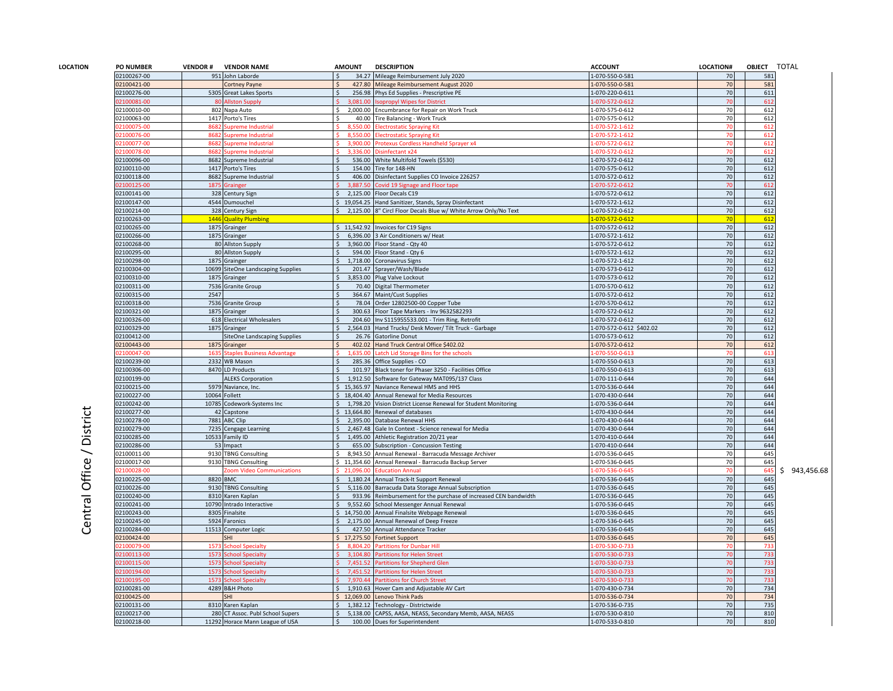| 02100267-00<br>951 John Laborde<br>34.27 Mileage Reimbursement July 2020<br>1-070-550-0-581<br>$\mathsf{S}$<br>02100421-00<br>427.80<br>Mileage Reimbursement August 2020<br>1-070-550-0-581<br>Cortney Payne<br>02100276-00<br>5305 Great Lakes Sports<br>256.98<br>Phys Ed Supplies - Prescriptive PE<br>1-070-220-0-611<br>12100081-00<br>sopropyl Wipes for District<br>$-070 - 572 - 0 - 612$<br><b>Allston Supply</b><br>3,081.00<br>02100010-00<br>2,000.00<br>Encumbrance for Repair on Work Truck<br>1-070-575-0-612<br>802 Napa Auto<br>Ŝ.<br>02100063-00<br>1417 Porto's Tires<br>$\zeta$<br>40.00<br>Tire Balancing - Work Truck<br>1-070-575-0-612<br>2100075-00<br>868<br>upreme Industrial<br>8.550.0<br>$-070 - 572 - 1 - 612$<br>ectrostatic Spraying Kit<br>02100076-00<br>8,550.00<br>868<br><b>Supreme Industrial</b><br>lectrostatic Spraying Kit<br>-070-572-1-612<br>02100077-00<br>868<br><b>Supreme Industrial</b><br>3,900.00<br>Protexus Cordless Handheld Sprayer x4<br>-070-572-0-612<br>2100078-00<br>upreme Industria<br>3.336.0<br>isinfectant x24<br>02100096-00<br>8682 Supreme Industrial<br>536.00<br>White Multifold Towels (\$530)<br>1-070-572-0-612<br>02100110-00<br>1417 Porto's Tires<br>154.00 Tire for 148-HN<br>-070-575-0-612<br>02100118-00<br>8682 Supreme Industrial<br>406.00<br>Disinfectant Supplies CO Invoice 226257<br>1-070-572-0-612<br>02100125-00<br>3.887.50<br>Covid 19 Signage and Floor tape<br>1-070-572-0-612<br>1875<br><b>Grainger</b><br>02100141-00<br>328 Century Sign<br>2,125.00<br>Floor Decals C19<br>1-070-572-0-612<br>02100147-00<br>4544 Dumouchel<br>\$19,054.25<br>Hand Sanitizer, Stands, Spray Disinfectant<br>1-070-572-1-612<br>02100214-00<br>2,125.00 8" Circl Floor Decals Blue w/ White Arrow Only/No Text<br>328 Century Sign<br>Ŝ.<br>1-070-572-0-612<br>02100263-00<br>1446 Quality Plumbing<br>1-070-572-0-612<br>02100265-00<br>1875 Grainger<br>\$11,542.92 Invoices for C19 Signs<br>1-070-572-0-612<br>02100266-00<br>1875 Grainger<br>6,396.00 3 Air Conditioners w/ Heat<br>1-070-572-1-612<br>02100268-00<br>3,960.00 Floor Stand - Qty 40<br>-070-572-0-612<br>80 Allston Supply<br>$\mathsf{S}$<br>02100295-00<br>1-070-572-1-612<br>80 Allston Supply<br>594.00 Floor Stand - Qty 6<br>02100298-00<br>1875 Grainger<br>1,718.00<br>1-070-572-1-612<br>Coronavirus Signs<br>1-070-573-0-612<br>02100304-00<br>10699 SiteOne Landscaping Supplies<br>201.47 Sprayer/Wash/Blade<br>02100310-00<br>1875 Grainger<br>$\mathsf{\hat{S}}$<br>3,853.00 Plug Valve Lockout<br>1-070-573-0-612<br>02100311-00<br>1-070-570-0-612<br>7536 Granite Group<br>Ŝ.<br>70.40 Digital Thermometer<br>02100315-00<br>2547<br>1-070-572-0-612<br>364.67 Maint/Cust Supplies<br>02100318-00<br>7536 Granite Group<br>78.04<br>Order 12802500-00 Copper Tube<br>-070-570-0-612<br>02100321-00<br>1-070-572-0-612<br>1875 Grainger<br>300.63 Floor Tape Markers - Inv 9632582293<br>02100326-00<br>618 Electrical Wholesalers<br>204.60 Inv S115955533.001 - Trim Ring, Retrofit<br>1-070-572-0-612<br>02100329-00<br>1875 Grainger<br>2,564.03<br>1-070-572-0-612 \$402.02<br>Hand Trucks/ Desk Mover/ Tilt Truck - Garbage<br>02100412-00<br>1-070-573-0-612<br>26.76<br>SiteOne Landscaping Supplies<br><b>Gatorline Donut</b><br>02100443-00<br>1875 Grainger<br>402.02<br>Hand Truck Central Office \$402.02<br>1-070-572-0-612<br>2100047-00<br>,635.00<br>atch Lid Storage Bins for the schools<br>$-070 - 550 - 0 - 613$<br>163<br><b>Staples Business Advantage</b><br>02100239-00<br>2332 WB Mason<br>285.36<br>Office Supplies - CO<br>1-070-550-0-613<br>02100306-00<br>8470 LD Products<br>Black toner for Phaser 3250 - Facilities Office<br>1-070-550-0-613<br>101.97<br>02100199-00<br><b>ALEKS Corporation</b><br>1,912.50<br>Software for Gateway MAT095/137 Class<br>1-070-111-0-644<br>02100215-00<br>\$15,365.97<br>-070-536-0-644<br>5979 Naviance, Inc.<br>Naviance Renewal HMS and HHS<br>02100227-00<br>10064 Follett<br>\$18,404.40 Annual Renewal for Media Resources<br>1-070-430-0-644<br>02100242-00<br>10785 Codework-Systems Inc<br>1.798.20<br>Vision District License Renewal for Student Monitoring<br>1-070-536-0-644<br>Central Office / District<br>13,664.80 Renewal of databases<br>02100277-00<br>42 Capstone<br>1-070-430-0-644<br>7881 ABC Clip<br>02100278-00<br>2,395.00 Database Renewal HHS<br>1-070-430-0-644<br>02100279-00<br>2,467.48 Gale In Context - Science renewal for Media<br>1-070-430-0-644<br>7235 Cengage Learning<br>02100285-00<br>10533 Family ID<br>1,495.00 Athletic Registration 20/21 year<br>1-070-410-0-644<br>02100286-00<br>53 Impact<br>1-070-410-0-644<br>655.00 Subscription - Concussion Testing<br>02100011-00<br>9130 TBNG Consulting<br>Ś.<br>8,943.50<br>1-070-536-0-645<br>Annual Renewal - Barracuda Message Archiver<br>02100017-00<br>\$11,354.60 Annual Renewal - Barracuda Backup Server<br>1-070-536-0-645<br>9130 TBNG Consulting<br>02100028-00<br><b>Com Video Communications</b><br>\$21,096.00<br><b>Education Annual</b><br>-070-536-0-645<br>02100225-00<br>8820 BMC<br>1,180.24<br>Annual Track-It Support Renewal<br>1-070-536-0-645<br>$\mathsf{S}$<br>02100226-00<br>9130 TBNG Consulting<br>5,116.00<br>Barracuda Data Storage Annual Subscription<br>1-070-536-0-645<br>02100240-00<br>8310 Karen Kaplan<br>933.96 Reimbursement for the purchase of increased CEN bandwidth<br>1-070-536-0-645<br>02100241-00<br>10790 Intrado Interactive<br>9,552.60 School Messenger Annual Renewal<br>\$<br>1-070-536-0-645<br>02100243-00<br>8305<br>Finalsite<br>14,750.00<br>Annual Finalsite Webpage Renewal<br>1-070-536-0-645<br>02100245-00<br>5924<br>2,175.00<br>1-070-536-0-645<br>Faronics<br>Annual Renewal of Deep Freeze<br>02100284-00<br>11513 Computer Logic<br>427.50 Annual Attendance Tracker<br>1-070-536-0-645<br>02100424-00<br>17,275.50 Fortinet Support<br>1-070-536-0-645<br><b>SHI</b><br>02100079-00<br>157<br>chool Specialty<br>8.804.20<br>artitions for Dunbar Hill<br>$-070 - 530 - 0 - 733$<br>02100113-00<br>157<br>3,104.80<br>artitions for Helen Street<br>-070-530-0-733<br>chool Specialty<br>02100115-00<br>1573<br>chool Specialty<br>7,451.52<br>artitions for Shepherd Glen<br>-070-530-0-733<br>02100194-00<br>1573<br>7,451.52<br>Partitions for Helen Street<br><b>School Specialty</b><br>-070-530-0-733<br>02100195-00<br><b>School Specialty</b><br>7,970.44<br>157<br>Partitions for Church Street<br>$-070 - 530 - 0 - 733$ | LOCATION# | <b>OBJECT</b> | <b>TOTAL</b> |
|------------------------------------------------------------------------------------------------------------------------------------------------------------------------------------------------------------------------------------------------------------------------------------------------------------------------------------------------------------------------------------------------------------------------------------------------------------------------------------------------------------------------------------------------------------------------------------------------------------------------------------------------------------------------------------------------------------------------------------------------------------------------------------------------------------------------------------------------------------------------------------------------------------------------------------------------------------------------------------------------------------------------------------------------------------------------------------------------------------------------------------------------------------------------------------------------------------------------------------------------------------------------------------------------------------------------------------------------------------------------------------------------------------------------------------------------------------------------------------------------------------------------------------------------------------------------------------------------------------------------------------------------------------------------------------------------------------------------------------------------------------------------------------------------------------------------------------------------------------------------------------------------------------------------------------------------------------------------------------------------------------------------------------------------------------------------------------------------------------------------------------------------------------------------------------------------------------------------------------------------------------------------------------------------------------------------------------------------------------------------------------------------------------------------------------------------------------------------------------------------------------------------------------------------------------------------------------------------------------------------------------------------------------------------------------------------------------------------------------------------------------------------------------------------------------------------------------------------------------------------------------------------------------------------------------------------------------------------------------------------------------------------------------------------------------------------------------------------------------------------------------------------------------------------------------------------------------------------------------------------------------------------------------------------------------------------------------------------------------------------------------------------------------------------------------------------------------------------------------------------------------------------------------------------------------------------------------------------------------------------------------------------------------------------------------------------------------------------------------------------------------------------------------------------------------------------------------------------------------------------------------------------------------------------------------------------------------------------------------------------------------------------------------------------------------------------------------------------------------------------------------------------------------------------------------------------------------------------------------------------------------------------------------------------------------------------------------------------------------------------------------------------------------------------------------------------------------------------------------------------------------------------------------------------------------------------------------------------------------------------------------------------------------------------------------------------------------------------------------------------------------------------------------------------------------------------------------------------------------------------------------------------------------------------------------------------------------------------------------------------------------------------------------------------------------------------------------------------------------------------------------------------------------------------------------------------------------------------------------------------------------------------------------------------------------------------------------------------------------------------------------------------------------------------------------------------------------------------------------------------------------------------------------------------------------------------------------------------------------------------------------------------------------------------------------------------------------------------------------------------------------------------------------------------------------------------------------------------------------------------------------------------------------------------------------------------------------------------------------------------------------------------------------------------------------------------------------------------------------------------------------------------------------------------------------------------------------------------------------------------------------------------------------------------------------------------------------------------------------------------------------------------------------------------------------------------------------------------------------------------------------------------------------------------------------|-----------|---------------|--------------|
|                                                                                                                                                                                                                                                                                                                                                                                                                                                                                                                                                                                                                                                                                                                                                                                                                                                                                                                                                                                                                                                                                                                                                                                                                                                                                                                                                                                                                                                                                                                                                                                                                                                                                                                                                                                                                                                                                                                                                                                                                                                                                                                                                                                                                                                                                                                                                                                                                                                                                                                                                                                                                                                                                                                                                                                                                                                                                                                                                                                                                                                                                                                                                                                                                                                                                                                                                                                                                                                                                                                                                                                                                                                                                                                                                                                                                                                                                                                                                                                                                                                                                                                                                                                                                                                                                                                                                                                                                                                                                                                                                                                                                                                                                                                                                                                                                                                                                                                                                                                                                                                                                                                                                                                                                                                                                                                                                                                                                                                                                                                                                                                                                                                                                                                                                                                                                                                                                                                                                                                                                                                                                                                                                                                                                                                                                                                                                                                                                                                                                                                                                            | 70        | 581           |              |
|                                                                                                                                                                                                                                                                                                                                                                                                                                                                                                                                                                                                                                                                                                                                                                                                                                                                                                                                                                                                                                                                                                                                                                                                                                                                                                                                                                                                                                                                                                                                                                                                                                                                                                                                                                                                                                                                                                                                                                                                                                                                                                                                                                                                                                                                                                                                                                                                                                                                                                                                                                                                                                                                                                                                                                                                                                                                                                                                                                                                                                                                                                                                                                                                                                                                                                                                                                                                                                                                                                                                                                                                                                                                                                                                                                                                                                                                                                                                                                                                                                                                                                                                                                                                                                                                                                                                                                                                                                                                                                                                                                                                                                                                                                                                                                                                                                                                                                                                                                                                                                                                                                                                                                                                                                                                                                                                                                                                                                                                                                                                                                                                                                                                                                                                                                                                                                                                                                                                                                                                                                                                                                                                                                                                                                                                                                                                                                                                                                                                                                                                                            | 70        | 581           |              |
|                                                                                                                                                                                                                                                                                                                                                                                                                                                                                                                                                                                                                                                                                                                                                                                                                                                                                                                                                                                                                                                                                                                                                                                                                                                                                                                                                                                                                                                                                                                                                                                                                                                                                                                                                                                                                                                                                                                                                                                                                                                                                                                                                                                                                                                                                                                                                                                                                                                                                                                                                                                                                                                                                                                                                                                                                                                                                                                                                                                                                                                                                                                                                                                                                                                                                                                                                                                                                                                                                                                                                                                                                                                                                                                                                                                                                                                                                                                                                                                                                                                                                                                                                                                                                                                                                                                                                                                                                                                                                                                                                                                                                                                                                                                                                                                                                                                                                                                                                                                                                                                                                                                                                                                                                                                                                                                                                                                                                                                                                                                                                                                                                                                                                                                                                                                                                                                                                                                                                                                                                                                                                                                                                                                                                                                                                                                                                                                                                                                                                                                                                            | 70        | 611           |              |
|                                                                                                                                                                                                                                                                                                                                                                                                                                                                                                                                                                                                                                                                                                                                                                                                                                                                                                                                                                                                                                                                                                                                                                                                                                                                                                                                                                                                                                                                                                                                                                                                                                                                                                                                                                                                                                                                                                                                                                                                                                                                                                                                                                                                                                                                                                                                                                                                                                                                                                                                                                                                                                                                                                                                                                                                                                                                                                                                                                                                                                                                                                                                                                                                                                                                                                                                                                                                                                                                                                                                                                                                                                                                                                                                                                                                                                                                                                                                                                                                                                                                                                                                                                                                                                                                                                                                                                                                                                                                                                                                                                                                                                                                                                                                                                                                                                                                                                                                                                                                                                                                                                                                                                                                                                                                                                                                                                                                                                                                                                                                                                                                                                                                                                                                                                                                                                                                                                                                                                                                                                                                                                                                                                                                                                                                                                                                                                                                                                                                                                                                                            | 70        | 612           |              |
|                                                                                                                                                                                                                                                                                                                                                                                                                                                                                                                                                                                                                                                                                                                                                                                                                                                                                                                                                                                                                                                                                                                                                                                                                                                                                                                                                                                                                                                                                                                                                                                                                                                                                                                                                                                                                                                                                                                                                                                                                                                                                                                                                                                                                                                                                                                                                                                                                                                                                                                                                                                                                                                                                                                                                                                                                                                                                                                                                                                                                                                                                                                                                                                                                                                                                                                                                                                                                                                                                                                                                                                                                                                                                                                                                                                                                                                                                                                                                                                                                                                                                                                                                                                                                                                                                                                                                                                                                                                                                                                                                                                                                                                                                                                                                                                                                                                                                                                                                                                                                                                                                                                                                                                                                                                                                                                                                                                                                                                                                                                                                                                                                                                                                                                                                                                                                                                                                                                                                                                                                                                                                                                                                                                                                                                                                                                                                                                                                                                                                                                                                            | 70        | 612           |              |
|                                                                                                                                                                                                                                                                                                                                                                                                                                                                                                                                                                                                                                                                                                                                                                                                                                                                                                                                                                                                                                                                                                                                                                                                                                                                                                                                                                                                                                                                                                                                                                                                                                                                                                                                                                                                                                                                                                                                                                                                                                                                                                                                                                                                                                                                                                                                                                                                                                                                                                                                                                                                                                                                                                                                                                                                                                                                                                                                                                                                                                                                                                                                                                                                                                                                                                                                                                                                                                                                                                                                                                                                                                                                                                                                                                                                                                                                                                                                                                                                                                                                                                                                                                                                                                                                                                                                                                                                                                                                                                                                                                                                                                                                                                                                                                                                                                                                                                                                                                                                                                                                                                                                                                                                                                                                                                                                                                                                                                                                                                                                                                                                                                                                                                                                                                                                                                                                                                                                                                                                                                                                                                                                                                                                                                                                                                                                                                                                                                                                                                                                                            | 70        | 612           |              |
|                                                                                                                                                                                                                                                                                                                                                                                                                                                                                                                                                                                                                                                                                                                                                                                                                                                                                                                                                                                                                                                                                                                                                                                                                                                                                                                                                                                                                                                                                                                                                                                                                                                                                                                                                                                                                                                                                                                                                                                                                                                                                                                                                                                                                                                                                                                                                                                                                                                                                                                                                                                                                                                                                                                                                                                                                                                                                                                                                                                                                                                                                                                                                                                                                                                                                                                                                                                                                                                                                                                                                                                                                                                                                                                                                                                                                                                                                                                                                                                                                                                                                                                                                                                                                                                                                                                                                                                                                                                                                                                                                                                                                                                                                                                                                                                                                                                                                                                                                                                                                                                                                                                                                                                                                                                                                                                                                                                                                                                                                                                                                                                                                                                                                                                                                                                                                                                                                                                                                                                                                                                                                                                                                                                                                                                                                                                                                                                                                                                                                                                                                            |           | 612           |              |
|                                                                                                                                                                                                                                                                                                                                                                                                                                                                                                                                                                                                                                                                                                                                                                                                                                                                                                                                                                                                                                                                                                                                                                                                                                                                                                                                                                                                                                                                                                                                                                                                                                                                                                                                                                                                                                                                                                                                                                                                                                                                                                                                                                                                                                                                                                                                                                                                                                                                                                                                                                                                                                                                                                                                                                                                                                                                                                                                                                                                                                                                                                                                                                                                                                                                                                                                                                                                                                                                                                                                                                                                                                                                                                                                                                                                                                                                                                                                                                                                                                                                                                                                                                                                                                                                                                                                                                                                                                                                                                                                                                                                                                                                                                                                                                                                                                                                                                                                                                                                                                                                                                                                                                                                                                                                                                                                                                                                                                                                                                                                                                                                                                                                                                                                                                                                                                                                                                                                                                                                                                                                                                                                                                                                                                                                                                                                                                                                                                                                                                                                                            |           | 612           |              |
|                                                                                                                                                                                                                                                                                                                                                                                                                                                                                                                                                                                                                                                                                                                                                                                                                                                                                                                                                                                                                                                                                                                                                                                                                                                                                                                                                                                                                                                                                                                                                                                                                                                                                                                                                                                                                                                                                                                                                                                                                                                                                                                                                                                                                                                                                                                                                                                                                                                                                                                                                                                                                                                                                                                                                                                                                                                                                                                                                                                                                                                                                                                                                                                                                                                                                                                                                                                                                                                                                                                                                                                                                                                                                                                                                                                                                                                                                                                                                                                                                                                                                                                                                                                                                                                                                                                                                                                                                                                                                                                                                                                                                                                                                                                                                                                                                                                                                                                                                                                                                                                                                                                                                                                                                                                                                                                                                                                                                                                                                                                                                                                                                                                                                                                                                                                                                                                                                                                                                                                                                                                                                                                                                                                                                                                                                                                                                                                                                                                                                                                                                            |           | 612           |              |
|                                                                                                                                                                                                                                                                                                                                                                                                                                                                                                                                                                                                                                                                                                                                                                                                                                                                                                                                                                                                                                                                                                                                                                                                                                                                                                                                                                                                                                                                                                                                                                                                                                                                                                                                                                                                                                                                                                                                                                                                                                                                                                                                                                                                                                                                                                                                                                                                                                                                                                                                                                                                                                                                                                                                                                                                                                                                                                                                                                                                                                                                                                                                                                                                                                                                                                                                                                                                                                                                                                                                                                                                                                                                                                                                                                                                                                                                                                                                                                                                                                                                                                                                                                                                                                                                                                                                                                                                                                                                                                                                                                                                                                                                                                                                                                                                                                                                                                                                                                                                                                                                                                                                                                                                                                                                                                                                                                                                                                                                                                                                                                                                                                                                                                                                                                                                                                                                                                                                                                                                                                                                                                                                                                                                                                                                                                                                                                                                                                                                                                                                                            |           | 61            |              |
|                                                                                                                                                                                                                                                                                                                                                                                                                                                                                                                                                                                                                                                                                                                                                                                                                                                                                                                                                                                                                                                                                                                                                                                                                                                                                                                                                                                                                                                                                                                                                                                                                                                                                                                                                                                                                                                                                                                                                                                                                                                                                                                                                                                                                                                                                                                                                                                                                                                                                                                                                                                                                                                                                                                                                                                                                                                                                                                                                                                                                                                                                                                                                                                                                                                                                                                                                                                                                                                                                                                                                                                                                                                                                                                                                                                                                                                                                                                                                                                                                                                                                                                                                                                                                                                                                                                                                                                                                                                                                                                                                                                                                                                                                                                                                                                                                                                                                                                                                                                                                                                                                                                                                                                                                                                                                                                                                                                                                                                                                                                                                                                                                                                                                                                                                                                                                                                                                                                                                                                                                                                                                                                                                                                                                                                                                                                                                                                                                                                                                                                                                            | 70        | 612           |              |
|                                                                                                                                                                                                                                                                                                                                                                                                                                                                                                                                                                                                                                                                                                                                                                                                                                                                                                                                                                                                                                                                                                                                                                                                                                                                                                                                                                                                                                                                                                                                                                                                                                                                                                                                                                                                                                                                                                                                                                                                                                                                                                                                                                                                                                                                                                                                                                                                                                                                                                                                                                                                                                                                                                                                                                                                                                                                                                                                                                                                                                                                                                                                                                                                                                                                                                                                                                                                                                                                                                                                                                                                                                                                                                                                                                                                                                                                                                                                                                                                                                                                                                                                                                                                                                                                                                                                                                                                                                                                                                                                                                                                                                                                                                                                                                                                                                                                                                                                                                                                                                                                                                                                                                                                                                                                                                                                                                                                                                                                                                                                                                                                                                                                                                                                                                                                                                                                                                                                                                                                                                                                                                                                                                                                                                                                                                                                                                                                                                                                                                                                                            | 70        | 612           |              |
|                                                                                                                                                                                                                                                                                                                                                                                                                                                                                                                                                                                                                                                                                                                                                                                                                                                                                                                                                                                                                                                                                                                                                                                                                                                                                                                                                                                                                                                                                                                                                                                                                                                                                                                                                                                                                                                                                                                                                                                                                                                                                                                                                                                                                                                                                                                                                                                                                                                                                                                                                                                                                                                                                                                                                                                                                                                                                                                                                                                                                                                                                                                                                                                                                                                                                                                                                                                                                                                                                                                                                                                                                                                                                                                                                                                                                                                                                                                                                                                                                                                                                                                                                                                                                                                                                                                                                                                                                                                                                                                                                                                                                                                                                                                                                                                                                                                                                                                                                                                                                                                                                                                                                                                                                                                                                                                                                                                                                                                                                                                                                                                                                                                                                                                                                                                                                                                                                                                                                                                                                                                                                                                                                                                                                                                                                                                                                                                                                                                                                                                                                            | 70        | 612           |              |
|                                                                                                                                                                                                                                                                                                                                                                                                                                                                                                                                                                                                                                                                                                                                                                                                                                                                                                                                                                                                                                                                                                                                                                                                                                                                                                                                                                                                                                                                                                                                                                                                                                                                                                                                                                                                                                                                                                                                                                                                                                                                                                                                                                                                                                                                                                                                                                                                                                                                                                                                                                                                                                                                                                                                                                                                                                                                                                                                                                                                                                                                                                                                                                                                                                                                                                                                                                                                                                                                                                                                                                                                                                                                                                                                                                                                                                                                                                                                                                                                                                                                                                                                                                                                                                                                                                                                                                                                                                                                                                                                                                                                                                                                                                                                                                                                                                                                                                                                                                                                                                                                                                                                                                                                                                                                                                                                                                                                                                                                                                                                                                                                                                                                                                                                                                                                                                                                                                                                                                                                                                                                                                                                                                                                                                                                                                                                                                                                                                                                                                                                                            | 70        | 612           |              |
|                                                                                                                                                                                                                                                                                                                                                                                                                                                                                                                                                                                                                                                                                                                                                                                                                                                                                                                                                                                                                                                                                                                                                                                                                                                                                                                                                                                                                                                                                                                                                                                                                                                                                                                                                                                                                                                                                                                                                                                                                                                                                                                                                                                                                                                                                                                                                                                                                                                                                                                                                                                                                                                                                                                                                                                                                                                                                                                                                                                                                                                                                                                                                                                                                                                                                                                                                                                                                                                                                                                                                                                                                                                                                                                                                                                                                                                                                                                                                                                                                                                                                                                                                                                                                                                                                                                                                                                                                                                                                                                                                                                                                                                                                                                                                                                                                                                                                                                                                                                                                                                                                                                                                                                                                                                                                                                                                                                                                                                                                                                                                                                                                                                                                                                                                                                                                                                                                                                                                                                                                                                                                                                                                                                                                                                                                                                                                                                                                                                                                                                                                            | 70        | 612           |              |
|                                                                                                                                                                                                                                                                                                                                                                                                                                                                                                                                                                                                                                                                                                                                                                                                                                                                                                                                                                                                                                                                                                                                                                                                                                                                                                                                                                                                                                                                                                                                                                                                                                                                                                                                                                                                                                                                                                                                                                                                                                                                                                                                                                                                                                                                                                                                                                                                                                                                                                                                                                                                                                                                                                                                                                                                                                                                                                                                                                                                                                                                                                                                                                                                                                                                                                                                                                                                                                                                                                                                                                                                                                                                                                                                                                                                                                                                                                                                                                                                                                                                                                                                                                                                                                                                                                                                                                                                                                                                                                                                                                                                                                                                                                                                                                                                                                                                                                                                                                                                                                                                                                                                                                                                                                                                                                                                                                                                                                                                                                                                                                                                                                                                                                                                                                                                                                                                                                                                                                                                                                                                                                                                                                                                                                                                                                                                                                                                                                                                                                                                                            | 70        | 612           |              |
|                                                                                                                                                                                                                                                                                                                                                                                                                                                                                                                                                                                                                                                                                                                                                                                                                                                                                                                                                                                                                                                                                                                                                                                                                                                                                                                                                                                                                                                                                                                                                                                                                                                                                                                                                                                                                                                                                                                                                                                                                                                                                                                                                                                                                                                                                                                                                                                                                                                                                                                                                                                                                                                                                                                                                                                                                                                                                                                                                                                                                                                                                                                                                                                                                                                                                                                                                                                                                                                                                                                                                                                                                                                                                                                                                                                                                                                                                                                                                                                                                                                                                                                                                                                                                                                                                                                                                                                                                                                                                                                                                                                                                                                                                                                                                                                                                                                                                                                                                                                                                                                                                                                                                                                                                                                                                                                                                                                                                                                                                                                                                                                                                                                                                                                                                                                                                                                                                                                                                                                                                                                                                                                                                                                                                                                                                                                                                                                                                                                                                                                                                            |           | 70<br>612     |              |
|                                                                                                                                                                                                                                                                                                                                                                                                                                                                                                                                                                                                                                                                                                                                                                                                                                                                                                                                                                                                                                                                                                                                                                                                                                                                                                                                                                                                                                                                                                                                                                                                                                                                                                                                                                                                                                                                                                                                                                                                                                                                                                                                                                                                                                                                                                                                                                                                                                                                                                                                                                                                                                                                                                                                                                                                                                                                                                                                                                                                                                                                                                                                                                                                                                                                                                                                                                                                                                                                                                                                                                                                                                                                                                                                                                                                                                                                                                                                                                                                                                                                                                                                                                                                                                                                                                                                                                                                                                                                                                                                                                                                                                                                                                                                                                                                                                                                                                                                                                                                                                                                                                                                                                                                                                                                                                                                                                                                                                                                                                                                                                                                                                                                                                                                                                                                                                                                                                                                                                                                                                                                                                                                                                                                                                                                                                                                                                                                                                                                                                                                                            | 70        | 61.           |              |
|                                                                                                                                                                                                                                                                                                                                                                                                                                                                                                                                                                                                                                                                                                                                                                                                                                                                                                                                                                                                                                                                                                                                                                                                                                                                                                                                                                                                                                                                                                                                                                                                                                                                                                                                                                                                                                                                                                                                                                                                                                                                                                                                                                                                                                                                                                                                                                                                                                                                                                                                                                                                                                                                                                                                                                                                                                                                                                                                                                                                                                                                                                                                                                                                                                                                                                                                                                                                                                                                                                                                                                                                                                                                                                                                                                                                                                                                                                                                                                                                                                                                                                                                                                                                                                                                                                                                                                                                                                                                                                                                                                                                                                                                                                                                                                                                                                                                                                                                                                                                                                                                                                                                                                                                                                                                                                                                                                                                                                                                                                                                                                                                                                                                                                                                                                                                                                                                                                                                                                                                                                                                                                                                                                                                                                                                                                                                                                                                                                                                                                                                                            | 70        | 612           |              |
|                                                                                                                                                                                                                                                                                                                                                                                                                                                                                                                                                                                                                                                                                                                                                                                                                                                                                                                                                                                                                                                                                                                                                                                                                                                                                                                                                                                                                                                                                                                                                                                                                                                                                                                                                                                                                                                                                                                                                                                                                                                                                                                                                                                                                                                                                                                                                                                                                                                                                                                                                                                                                                                                                                                                                                                                                                                                                                                                                                                                                                                                                                                                                                                                                                                                                                                                                                                                                                                                                                                                                                                                                                                                                                                                                                                                                                                                                                                                                                                                                                                                                                                                                                                                                                                                                                                                                                                                                                                                                                                                                                                                                                                                                                                                                                                                                                                                                                                                                                                                                                                                                                                                                                                                                                                                                                                                                                                                                                                                                                                                                                                                                                                                                                                                                                                                                                                                                                                                                                                                                                                                                                                                                                                                                                                                                                                                                                                                                                                                                                                                                            | 70        | 612           |              |
|                                                                                                                                                                                                                                                                                                                                                                                                                                                                                                                                                                                                                                                                                                                                                                                                                                                                                                                                                                                                                                                                                                                                                                                                                                                                                                                                                                                                                                                                                                                                                                                                                                                                                                                                                                                                                                                                                                                                                                                                                                                                                                                                                                                                                                                                                                                                                                                                                                                                                                                                                                                                                                                                                                                                                                                                                                                                                                                                                                                                                                                                                                                                                                                                                                                                                                                                                                                                                                                                                                                                                                                                                                                                                                                                                                                                                                                                                                                                                                                                                                                                                                                                                                                                                                                                                                                                                                                                                                                                                                                                                                                                                                                                                                                                                                                                                                                                                                                                                                                                                                                                                                                                                                                                                                                                                                                                                                                                                                                                                                                                                                                                                                                                                                                                                                                                                                                                                                                                                                                                                                                                                                                                                                                                                                                                                                                                                                                                                                                                                                                                                            | 70        | 612           |              |
|                                                                                                                                                                                                                                                                                                                                                                                                                                                                                                                                                                                                                                                                                                                                                                                                                                                                                                                                                                                                                                                                                                                                                                                                                                                                                                                                                                                                                                                                                                                                                                                                                                                                                                                                                                                                                                                                                                                                                                                                                                                                                                                                                                                                                                                                                                                                                                                                                                                                                                                                                                                                                                                                                                                                                                                                                                                                                                                                                                                                                                                                                                                                                                                                                                                                                                                                                                                                                                                                                                                                                                                                                                                                                                                                                                                                                                                                                                                                                                                                                                                                                                                                                                                                                                                                                                                                                                                                                                                                                                                                                                                                                                                                                                                                                                                                                                                                                                                                                                                                                                                                                                                                                                                                                                                                                                                                                                                                                                                                                                                                                                                                                                                                                                                                                                                                                                                                                                                                                                                                                                                                                                                                                                                                                                                                                                                                                                                                                                                                                                                                                            | 70        | 612           |              |
|                                                                                                                                                                                                                                                                                                                                                                                                                                                                                                                                                                                                                                                                                                                                                                                                                                                                                                                                                                                                                                                                                                                                                                                                                                                                                                                                                                                                                                                                                                                                                                                                                                                                                                                                                                                                                                                                                                                                                                                                                                                                                                                                                                                                                                                                                                                                                                                                                                                                                                                                                                                                                                                                                                                                                                                                                                                                                                                                                                                                                                                                                                                                                                                                                                                                                                                                                                                                                                                                                                                                                                                                                                                                                                                                                                                                                                                                                                                                                                                                                                                                                                                                                                                                                                                                                                                                                                                                                                                                                                                                                                                                                                                                                                                                                                                                                                                                                                                                                                                                                                                                                                                                                                                                                                                                                                                                                                                                                                                                                                                                                                                                                                                                                                                                                                                                                                                                                                                                                                                                                                                                                                                                                                                                                                                                                                                                                                                                                                                                                                                                                            | 70        | 612           |              |
|                                                                                                                                                                                                                                                                                                                                                                                                                                                                                                                                                                                                                                                                                                                                                                                                                                                                                                                                                                                                                                                                                                                                                                                                                                                                                                                                                                                                                                                                                                                                                                                                                                                                                                                                                                                                                                                                                                                                                                                                                                                                                                                                                                                                                                                                                                                                                                                                                                                                                                                                                                                                                                                                                                                                                                                                                                                                                                                                                                                                                                                                                                                                                                                                                                                                                                                                                                                                                                                                                                                                                                                                                                                                                                                                                                                                                                                                                                                                                                                                                                                                                                                                                                                                                                                                                                                                                                                                                                                                                                                                                                                                                                                                                                                                                                                                                                                                                                                                                                                                                                                                                                                                                                                                                                                                                                                                                                                                                                                                                                                                                                                                                                                                                                                                                                                                                                                                                                                                                                                                                                                                                                                                                                                                                                                                                                                                                                                                                                                                                                                                                            | 70        | 612           |              |
|                                                                                                                                                                                                                                                                                                                                                                                                                                                                                                                                                                                                                                                                                                                                                                                                                                                                                                                                                                                                                                                                                                                                                                                                                                                                                                                                                                                                                                                                                                                                                                                                                                                                                                                                                                                                                                                                                                                                                                                                                                                                                                                                                                                                                                                                                                                                                                                                                                                                                                                                                                                                                                                                                                                                                                                                                                                                                                                                                                                                                                                                                                                                                                                                                                                                                                                                                                                                                                                                                                                                                                                                                                                                                                                                                                                                                                                                                                                                                                                                                                                                                                                                                                                                                                                                                                                                                                                                                                                                                                                                                                                                                                                                                                                                                                                                                                                                                                                                                                                                                                                                                                                                                                                                                                                                                                                                                                                                                                                                                                                                                                                                                                                                                                                                                                                                                                                                                                                                                                                                                                                                                                                                                                                                                                                                                                                                                                                                                                                                                                                                                            | 70        | 612           |              |
|                                                                                                                                                                                                                                                                                                                                                                                                                                                                                                                                                                                                                                                                                                                                                                                                                                                                                                                                                                                                                                                                                                                                                                                                                                                                                                                                                                                                                                                                                                                                                                                                                                                                                                                                                                                                                                                                                                                                                                                                                                                                                                                                                                                                                                                                                                                                                                                                                                                                                                                                                                                                                                                                                                                                                                                                                                                                                                                                                                                                                                                                                                                                                                                                                                                                                                                                                                                                                                                                                                                                                                                                                                                                                                                                                                                                                                                                                                                                                                                                                                                                                                                                                                                                                                                                                                                                                                                                                                                                                                                                                                                                                                                                                                                                                                                                                                                                                                                                                                                                                                                                                                                                                                                                                                                                                                                                                                                                                                                                                                                                                                                                                                                                                                                                                                                                                                                                                                                                                                                                                                                                                                                                                                                                                                                                                                                                                                                                                                                                                                                                                            | 70        | 612           |              |
|                                                                                                                                                                                                                                                                                                                                                                                                                                                                                                                                                                                                                                                                                                                                                                                                                                                                                                                                                                                                                                                                                                                                                                                                                                                                                                                                                                                                                                                                                                                                                                                                                                                                                                                                                                                                                                                                                                                                                                                                                                                                                                                                                                                                                                                                                                                                                                                                                                                                                                                                                                                                                                                                                                                                                                                                                                                                                                                                                                                                                                                                                                                                                                                                                                                                                                                                                                                                                                                                                                                                                                                                                                                                                                                                                                                                                                                                                                                                                                                                                                                                                                                                                                                                                                                                                                                                                                                                                                                                                                                                                                                                                                                                                                                                                                                                                                                                                                                                                                                                                                                                                                                                                                                                                                                                                                                                                                                                                                                                                                                                                                                                                                                                                                                                                                                                                                                                                                                                                                                                                                                                                                                                                                                                                                                                                                                                                                                                                                                                                                                                                            | 70        | 612           |              |
|                                                                                                                                                                                                                                                                                                                                                                                                                                                                                                                                                                                                                                                                                                                                                                                                                                                                                                                                                                                                                                                                                                                                                                                                                                                                                                                                                                                                                                                                                                                                                                                                                                                                                                                                                                                                                                                                                                                                                                                                                                                                                                                                                                                                                                                                                                                                                                                                                                                                                                                                                                                                                                                                                                                                                                                                                                                                                                                                                                                                                                                                                                                                                                                                                                                                                                                                                                                                                                                                                                                                                                                                                                                                                                                                                                                                                                                                                                                                                                                                                                                                                                                                                                                                                                                                                                                                                                                                                                                                                                                                                                                                                                                                                                                                                                                                                                                                                                                                                                                                                                                                                                                                                                                                                                                                                                                                                                                                                                                                                                                                                                                                                                                                                                                                                                                                                                                                                                                                                                                                                                                                                                                                                                                                                                                                                                                                                                                                                                                                                                                                                            | 70        | 612           |              |
|                                                                                                                                                                                                                                                                                                                                                                                                                                                                                                                                                                                                                                                                                                                                                                                                                                                                                                                                                                                                                                                                                                                                                                                                                                                                                                                                                                                                                                                                                                                                                                                                                                                                                                                                                                                                                                                                                                                                                                                                                                                                                                                                                                                                                                                                                                                                                                                                                                                                                                                                                                                                                                                                                                                                                                                                                                                                                                                                                                                                                                                                                                                                                                                                                                                                                                                                                                                                                                                                                                                                                                                                                                                                                                                                                                                                                                                                                                                                                                                                                                                                                                                                                                                                                                                                                                                                                                                                                                                                                                                                                                                                                                                                                                                                                                                                                                                                                                                                                                                                                                                                                                                                                                                                                                                                                                                                                                                                                                                                                                                                                                                                                                                                                                                                                                                                                                                                                                                                                                                                                                                                                                                                                                                                                                                                                                                                                                                                                                                                                                                                                            | 70        | 612           |              |
|                                                                                                                                                                                                                                                                                                                                                                                                                                                                                                                                                                                                                                                                                                                                                                                                                                                                                                                                                                                                                                                                                                                                                                                                                                                                                                                                                                                                                                                                                                                                                                                                                                                                                                                                                                                                                                                                                                                                                                                                                                                                                                                                                                                                                                                                                                                                                                                                                                                                                                                                                                                                                                                                                                                                                                                                                                                                                                                                                                                                                                                                                                                                                                                                                                                                                                                                                                                                                                                                                                                                                                                                                                                                                                                                                                                                                                                                                                                                                                                                                                                                                                                                                                                                                                                                                                                                                                                                                                                                                                                                                                                                                                                                                                                                                                                                                                                                                                                                                                                                                                                                                                                                                                                                                                                                                                                                                                                                                                                                                                                                                                                                                                                                                                                                                                                                                                                                                                                                                                                                                                                                                                                                                                                                                                                                                                                                                                                                                                                                                                                                                            | 70        | 612           |              |
|                                                                                                                                                                                                                                                                                                                                                                                                                                                                                                                                                                                                                                                                                                                                                                                                                                                                                                                                                                                                                                                                                                                                                                                                                                                                                                                                                                                                                                                                                                                                                                                                                                                                                                                                                                                                                                                                                                                                                                                                                                                                                                                                                                                                                                                                                                                                                                                                                                                                                                                                                                                                                                                                                                                                                                                                                                                                                                                                                                                                                                                                                                                                                                                                                                                                                                                                                                                                                                                                                                                                                                                                                                                                                                                                                                                                                                                                                                                                                                                                                                                                                                                                                                                                                                                                                                                                                                                                                                                                                                                                                                                                                                                                                                                                                                                                                                                                                                                                                                                                                                                                                                                                                                                                                                                                                                                                                                                                                                                                                                                                                                                                                                                                                                                                                                                                                                                                                                                                                                                                                                                                                                                                                                                                                                                                                                                                                                                                                                                                                                                                                            | 70        | 612           |              |
|                                                                                                                                                                                                                                                                                                                                                                                                                                                                                                                                                                                                                                                                                                                                                                                                                                                                                                                                                                                                                                                                                                                                                                                                                                                                                                                                                                                                                                                                                                                                                                                                                                                                                                                                                                                                                                                                                                                                                                                                                                                                                                                                                                                                                                                                                                                                                                                                                                                                                                                                                                                                                                                                                                                                                                                                                                                                                                                                                                                                                                                                                                                                                                                                                                                                                                                                                                                                                                                                                                                                                                                                                                                                                                                                                                                                                                                                                                                                                                                                                                                                                                                                                                                                                                                                                                                                                                                                                                                                                                                                                                                                                                                                                                                                                                                                                                                                                                                                                                                                                                                                                                                                                                                                                                                                                                                                                                                                                                                                                                                                                                                                                                                                                                                                                                                                                                                                                                                                                                                                                                                                                                                                                                                                                                                                                                                                                                                                                                                                                                                                                            | 70        |               |              |
|                                                                                                                                                                                                                                                                                                                                                                                                                                                                                                                                                                                                                                                                                                                                                                                                                                                                                                                                                                                                                                                                                                                                                                                                                                                                                                                                                                                                                                                                                                                                                                                                                                                                                                                                                                                                                                                                                                                                                                                                                                                                                                                                                                                                                                                                                                                                                                                                                                                                                                                                                                                                                                                                                                                                                                                                                                                                                                                                                                                                                                                                                                                                                                                                                                                                                                                                                                                                                                                                                                                                                                                                                                                                                                                                                                                                                                                                                                                                                                                                                                                                                                                                                                                                                                                                                                                                                                                                                                                                                                                                                                                                                                                                                                                                                                                                                                                                                                                                                                                                                                                                                                                                                                                                                                                                                                                                                                                                                                                                                                                                                                                                                                                                                                                                                                                                                                                                                                                                                                                                                                                                                                                                                                                                                                                                                                                                                                                                                                                                                                                                                            | 70        | 612<br>612    |              |
|                                                                                                                                                                                                                                                                                                                                                                                                                                                                                                                                                                                                                                                                                                                                                                                                                                                                                                                                                                                                                                                                                                                                                                                                                                                                                                                                                                                                                                                                                                                                                                                                                                                                                                                                                                                                                                                                                                                                                                                                                                                                                                                                                                                                                                                                                                                                                                                                                                                                                                                                                                                                                                                                                                                                                                                                                                                                                                                                                                                                                                                                                                                                                                                                                                                                                                                                                                                                                                                                                                                                                                                                                                                                                                                                                                                                                                                                                                                                                                                                                                                                                                                                                                                                                                                                                                                                                                                                                                                                                                                                                                                                                                                                                                                                                                                                                                                                                                                                                                                                                                                                                                                                                                                                                                                                                                                                                                                                                                                                                                                                                                                                                                                                                                                                                                                                                                                                                                                                                                                                                                                                                                                                                                                                                                                                                                                                                                                                                                                                                                                                                            |           |               |              |
|                                                                                                                                                                                                                                                                                                                                                                                                                                                                                                                                                                                                                                                                                                                                                                                                                                                                                                                                                                                                                                                                                                                                                                                                                                                                                                                                                                                                                                                                                                                                                                                                                                                                                                                                                                                                                                                                                                                                                                                                                                                                                                                                                                                                                                                                                                                                                                                                                                                                                                                                                                                                                                                                                                                                                                                                                                                                                                                                                                                                                                                                                                                                                                                                                                                                                                                                                                                                                                                                                                                                                                                                                                                                                                                                                                                                                                                                                                                                                                                                                                                                                                                                                                                                                                                                                                                                                                                                                                                                                                                                                                                                                                                                                                                                                                                                                                                                                                                                                                                                                                                                                                                                                                                                                                                                                                                                                                                                                                                                                                                                                                                                                                                                                                                                                                                                                                                                                                                                                                                                                                                                                                                                                                                                                                                                                                                                                                                                                                                                                                                                                            | 70<br>70  | 613<br>613    |              |
|                                                                                                                                                                                                                                                                                                                                                                                                                                                                                                                                                                                                                                                                                                                                                                                                                                                                                                                                                                                                                                                                                                                                                                                                                                                                                                                                                                                                                                                                                                                                                                                                                                                                                                                                                                                                                                                                                                                                                                                                                                                                                                                                                                                                                                                                                                                                                                                                                                                                                                                                                                                                                                                                                                                                                                                                                                                                                                                                                                                                                                                                                                                                                                                                                                                                                                                                                                                                                                                                                                                                                                                                                                                                                                                                                                                                                                                                                                                                                                                                                                                                                                                                                                                                                                                                                                                                                                                                                                                                                                                                                                                                                                                                                                                                                                                                                                                                                                                                                                                                                                                                                                                                                                                                                                                                                                                                                                                                                                                                                                                                                                                                                                                                                                                                                                                                                                                                                                                                                                                                                                                                                                                                                                                                                                                                                                                                                                                                                                                                                                                                                            | 70        | 613           |              |
|                                                                                                                                                                                                                                                                                                                                                                                                                                                                                                                                                                                                                                                                                                                                                                                                                                                                                                                                                                                                                                                                                                                                                                                                                                                                                                                                                                                                                                                                                                                                                                                                                                                                                                                                                                                                                                                                                                                                                                                                                                                                                                                                                                                                                                                                                                                                                                                                                                                                                                                                                                                                                                                                                                                                                                                                                                                                                                                                                                                                                                                                                                                                                                                                                                                                                                                                                                                                                                                                                                                                                                                                                                                                                                                                                                                                                                                                                                                                                                                                                                                                                                                                                                                                                                                                                                                                                                                                                                                                                                                                                                                                                                                                                                                                                                                                                                                                                                                                                                                                                                                                                                                                                                                                                                                                                                                                                                                                                                                                                                                                                                                                                                                                                                                                                                                                                                                                                                                                                                                                                                                                                                                                                                                                                                                                                                                                                                                                                                                                                                                                                            | 70        |               |              |
|                                                                                                                                                                                                                                                                                                                                                                                                                                                                                                                                                                                                                                                                                                                                                                                                                                                                                                                                                                                                                                                                                                                                                                                                                                                                                                                                                                                                                                                                                                                                                                                                                                                                                                                                                                                                                                                                                                                                                                                                                                                                                                                                                                                                                                                                                                                                                                                                                                                                                                                                                                                                                                                                                                                                                                                                                                                                                                                                                                                                                                                                                                                                                                                                                                                                                                                                                                                                                                                                                                                                                                                                                                                                                                                                                                                                                                                                                                                                                                                                                                                                                                                                                                                                                                                                                                                                                                                                                                                                                                                                                                                                                                                                                                                                                                                                                                                                                                                                                                                                                                                                                                                                                                                                                                                                                                                                                                                                                                                                                                                                                                                                                                                                                                                                                                                                                                                                                                                                                                                                                                                                                                                                                                                                                                                                                                                                                                                                                                                                                                                                                            | 70        | 644<br>644    |              |
|                                                                                                                                                                                                                                                                                                                                                                                                                                                                                                                                                                                                                                                                                                                                                                                                                                                                                                                                                                                                                                                                                                                                                                                                                                                                                                                                                                                                                                                                                                                                                                                                                                                                                                                                                                                                                                                                                                                                                                                                                                                                                                                                                                                                                                                                                                                                                                                                                                                                                                                                                                                                                                                                                                                                                                                                                                                                                                                                                                                                                                                                                                                                                                                                                                                                                                                                                                                                                                                                                                                                                                                                                                                                                                                                                                                                                                                                                                                                                                                                                                                                                                                                                                                                                                                                                                                                                                                                                                                                                                                                                                                                                                                                                                                                                                                                                                                                                                                                                                                                                                                                                                                                                                                                                                                                                                                                                                                                                                                                                                                                                                                                                                                                                                                                                                                                                                                                                                                                                                                                                                                                                                                                                                                                                                                                                                                                                                                                                                                                                                                                                            | 70        | 644           |              |
|                                                                                                                                                                                                                                                                                                                                                                                                                                                                                                                                                                                                                                                                                                                                                                                                                                                                                                                                                                                                                                                                                                                                                                                                                                                                                                                                                                                                                                                                                                                                                                                                                                                                                                                                                                                                                                                                                                                                                                                                                                                                                                                                                                                                                                                                                                                                                                                                                                                                                                                                                                                                                                                                                                                                                                                                                                                                                                                                                                                                                                                                                                                                                                                                                                                                                                                                                                                                                                                                                                                                                                                                                                                                                                                                                                                                                                                                                                                                                                                                                                                                                                                                                                                                                                                                                                                                                                                                                                                                                                                                                                                                                                                                                                                                                                                                                                                                                                                                                                                                                                                                                                                                                                                                                                                                                                                                                                                                                                                                                                                                                                                                                                                                                                                                                                                                                                                                                                                                                                                                                                                                                                                                                                                                                                                                                                                                                                                                                                                                                                                                                            | 70        | 644           |              |
|                                                                                                                                                                                                                                                                                                                                                                                                                                                                                                                                                                                                                                                                                                                                                                                                                                                                                                                                                                                                                                                                                                                                                                                                                                                                                                                                                                                                                                                                                                                                                                                                                                                                                                                                                                                                                                                                                                                                                                                                                                                                                                                                                                                                                                                                                                                                                                                                                                                                                                                                                                                                                                                                                                                                                                                                                                                                                                                                                                                                                                                                                                                                                                                                                                                                                                                                                                                                                                                                                                                                                                                                                                                                                                                                                                                                                                                                                                                                                                                                                                                                                                                                                                                                                                                                                                                                                                                                                                                                                                                                                                                                                                                                                                                                                                                                                                                                                                                                                                                                                                                                                                                                                                                                                                                                                                                                                                                                                                                                                                                                                                                                                                                                                                                                                                                                                                                                                                                                                                                                                                                                                                                                                                                                                                                                                                                                                                                                                                                                                                                                                            | 70        | 644           |              |
|                                                                                                                                                                                                                                                                                                                                                                                                                                                                                                                                                                                                                                                                                                                                                                                                                                                                                                                                                                                                                                                                                                                                                                                                                                                                                                                                                                                                                                                                                                                                                                                                                                                                                                                                                                                                                                                                                                                                                                                                                                                                                                                                                                                                                                                                                                                                                                                                                                                                                                                                                                                                                                                                                                                                                                                                                                                                                                                                                                                                                                                                                                                                                                                                                                                                                                                                                                                                                                                                                                                                                                                                                                                                                                                                                                                                                                                                                                                                                                                                                                                                                                                                                                                                                                                                                                                                                                                                                                                                                                                                                                                                                                                                                                                                                                                                                                                                                                                                                                                                                                                                                                                                                                                                                                                                                                                                                                                                                                                                                                                                                                                                                                                                                                                                                                                                                                                                                                                                                                                                                                                                                                                                                                                                                                                                                                                                                                                                                                                                                                                                                            | 70        | 644           |              |
|                                                                                                                                                                                                                                                                                                                                                                                                                                                                                                                                                                                                                                                                                                                                                                                                                                                                                                                                                                                                                                                                                                                                                                                                                                                                                                                                                                                                                                                                                                                                                                                                                                                                                                                                                                                                                                                                                                                                                                                                                                                                                                                                                                                                                                                                                                                                                                                                                                                                                                                                                                                                                                                                                                                                                                                                                                                                                                                                                                                                                                                                                                                                                                                                                                                                                                                                                                                                                                                                                                                                                                                                                                                                                                                                                                                                                                                                                                                                                                                                                                                                                                                                                                                                                                                                                                                                                                                                                                                                                                                                                                                                                                                                                                                                                                                                                                                                                                                                                                                                                                                                                                                                                                                                                                                                                                                                                                                                                                                                                                                                                                                                                                                                                                                                                                                                                                                                                                                                                                                                                                                                                                                                                                                                                                                                                                                                                                                                                                                                                                                                                            |           | 70            |              |
|                                                                                                                                                                                                                                                                                                                                                                                                                                                                                                                                                                                                                                                                                                                                                                                                                                                                                                                                                                                                                                                                                                                                                                                                                                                                                                                                                                                                                                                                                                                                                                                                                                                                                                                                                                                                                                                                                                                                                                                                                                                                                                                                                                                                                                                                                                                                                                                                                                                                                                                                                                                                                                                                                                                                                                                                                                                                                                                                                                                                                                                                                                                                                                                                                                                                                                                                                                                                                                                                                                                                                                                                                                                                                                                                                                                                                                                                                                                                                                                                                                                                                                                                                                                                                                                                                                                                                                                                                                                                                                                                                                                                                                                                                                                                                                                                                                                                                                                                                                                                                                                                                                                                                                                                                                                                                                                                                                                                                                                                                                                                                                                                                                                                                                                                                                                                                                                                                                                                                                                                                                                                                                                                                                                                                                                                                                                                                                                                                                                                                                                                                            | 70        | 644<br>644    |              |
|                                                                                                                                                                                                                                                                                                                                                                                                                                                                                                                                                                                                                                                                                                                                                                                                                                                                                                                                                                                                                                                                                                                                                                                                                                                                                                                                                                                                                                                                                                                                                                                                                                                                                                                                                                                                                                                                                                                                                                                                                                                                                                                                                                                                                                                                                                                                                                                                                                                                                                                                                                                                                                                                                                                                                                                                                                                                                                                                                                                                                                                                                                                                                                                                                                                                                                                                                                                                                                                                                                                                                                                                                                                                                                                                                                                                                                                                                                                                                                                                                                                                                                                                                                                                                                                                                                                                                                                                                                                                                                                                                                                                                                                                                                                                                                                                                                                                                                                                                                                                                                                                                                                                                                                                                                                                                                                                                                                                                                                                                                                                                                                                                                                                                                                                                                                                                                                                                                                                                                                                                                                                                                                                                                                                                                                                                                                                                                                                                                                                                                                                                            | 70        | 644           |              |
|                                                                                                                                                                                                                                                                                                                                                                                                                                                                                                                                                                                                                                                                                                                                                                                                                                                                                                                                                                                                                                                                                                                                                                                                                                                                                                                                                                                                                                                                                                                                                                                                                                                                                                                                                                                                                                                                                                                                                                                                                                                                                                                                                                                                                                                                                                                                                                                                                                                                                                                                                                                                                                                                                                                                                                                                                                                                                                                                                                                                                                                                                                                                                                                                                                                                                                                                                                                                                                                                                                                                                                                                                                                                                                                                                                                                                                                                                                                                                                                                                                                                                                                                                                                                                                                                                                                                                                                                                                                                                                                                                                                                                                                                                                                                                                                                                                                                                                                                                                                                                                                                                                                                                                                                                                                                                                                                                                                                                                                                                                                                                                                                                                                                                                                                                                                                                                                                                                                                                                                                                                                                                                                                                                                                                                                                                                                                                                                                                                                                                                                                                            | 70        | 645           |              |
|                                                                                                                                                                                                                                                                                                                                                                                                                                                                                                                                                                                                                                                                                                                                                                                                                                                                                                                                                                                                                                                                                                                                                                                                                                                                                                                                                                                                                                                                                                                                                                                                                                                                                                                                                                                                                                                                                                                                                                                                                                                                                                                                                                                                                                                                                                                                                                                                                                                                                                                                                                                                                                                                                                                                                                                                                                                                                                                                                                                                                                                                                                                                                                                                                                                                                                                                                                                                                                                                                                                                                                                                                                                                                                                                                                                                                                                                                                                                                                                                                                                                                                                                                                                                                                                                                                                                                                                                                                                                                                                                                                                                                                                                                                                                                                                                                                                                                                                                                                                                                                                                                                                                                                                                                                                                                                                                                                                                                                                                                                                                                                                                                                                                                                                                                                                                                                                                                                                                                                                                                                                                                                                                                                                                                                                                                                                                                                                                                                                                                                                                                            |           |               |              |
|                                                                                                                                                                                                                                                                                                                                                                                                                                                                                                                                                                                                                                                                                                                                                                                                                                                                                                                                                                                                                                                                                                                                                                                                                                                                                                                                                                                                                                                                                                                                                                                                                                                                                                                                                                                                                                                                                                                                                                                                                                                                                                                                                                                                                                                                                                                                                                                                                                                                                                                                                                                                                                                                                                                                                                                                                                                                                                                                                                                                                                                                                                                                                                                                                                                                                                                                                                                                                                                                                                                                                                                                                                                                                                                                                                                                                                                                                                                                                                                                                                                                                                                                                                                                                                                                                                                                                                                                                                                                                                                                                                                                                                                                                                                                                                                                                                                                                                                                                                                                                                                                                                                                                                                                                                                                                                                                                                                                                                                                                                                                                                                                                                                                                                                                                                                                                                                                                                                                                                                                                                                                                                                                                                                                                                                                                                                                                                                                                                                                                                                                                            | 70        | 645           |              |
|                                                                                                                                                                                                                                                                                                                                                                                                                                                                                                                                                                                                                                                                                                                                                                                                                                                                                                                                                                                                                                                                                                                                                                                                                                                                                                                                                                                                                                                                                                                                                                                                                                                                                                                                                                                                                                                                                                                                                                                                                                                                                                                                                                                                                                                                                                                                                                                                                                                                                                                                                                                                                                                                                                                                                                                                                                                                                                                                                                                                                                                                                                                                                                                                                                                                                                                                                                                                                                                                                                                                                                                                                                                                                                                                                                                                                                                                                                                                                                                                                                                                                                                                                                                                                                                                                                                                                                                                                                                                                                                                                                                                                                                                                                                                                                                                                                                                                                                                                                                                                                                                                                                                                                                                                                                                                                                                                                                                                                                                                                                                                                                                                                                                                                                                                                                                                                                                                                                                                                                                                                                                                                                                                                                                                                                                                                                                                                                                                                                                                                                                                            | 70        | 645           | \$943,456.68 |
|                                                                                                                                                                                                                                                                                                                                                                                                                                                                                                                                                                                                                                                                                                                                                                                                                                                                                                                                                                                                                                                                                                                                                                                                                                                                                                                                                                                                                                                                                                                                                                                                                                                                                                                                                                                                                                                                                                                                                                                                                                                                                                                                                                                                                                                                                                                                                                                                                                                                                                                                                                                                                                                                                                                                                                                                                                                                                                                                                                                                                                                                                                                                                                                                                                                                                                                                                                                                                                                                                                                                                                                                                                                                                                                                                                                                                                                                                                                                                                                                                                                                                                                                                                                                                                                                                                                                                                                                                                                                                                                                                                                                                                                                                                                                                                                                                                                                                                                                                                                                                                                                                                                                                                                                                                                                                                                                                                                                                                                                                                                                                                                                                                                                                                                                                                                                                                                                                                                                                                                                                                                                                                                                                                                                                                                                                                                                                                                                                                                                                                                                                            | 70        | 645           |              |
|                                                                                                                                                                                                                                                                                                                                                                                                                                                                                                                                                                                                                                                                                                                                                                                                                                                                                                                                                                                                                                                                                                                                                                                                                                                                                                                                                                                                                                                                                                                                                                                                                                                                                                                                                                                                                                                                                                                                                                                                                                                                                                                                                                                                                                                                                                                                                                                                                                                                                                                                                                                                                                                                                                                                                                                                                                                                                                                                                                                                                                                                                                                                                                                                                                                                                                                                                                                                                                                                                                                                                                                                                                                                                                                                                                                                                                                                                                                                                                                                                                                                                                                                                                                                                                                                                                                                                                                                                                                                                                                                                                                                                                                                                                                                                                                                                                                                                                                                                                                                                                                                                                                                                                                                                                                                                                                                                                                                                                                                                                                                                                                                                                                                                                                                                                                                                                                                                                                                                                                                                                                                                                                                                                                                                                                                                                                                                                                                                                                                                                                                                            | 70        | 645           |              |
|                                                                                                                                                                                                                                                                                                                                                                                                                                                                                                                                                                                                                                                                                                                                                                                                                                                                                                                                                                                                                                                                                                                                                                                                                                                                                                                                                                                                                                                                                                                                                                                                                                                                                                                                                                                                                                                                                                                                                                                                                                                                                                                                                                                                                                                                                                                                                                                                                                                                                                                                                                                                                                                                                                                                                                                                                                                                                                                                                                                                                                                                                                                                                                                                                                                                                                                                                                                                                                                                                                                                                                                                                                                                                                                                                                                                                                                                                                                                                                                                                                                                                                                                                                                                                                                                                                                                                                                                                                                                                                                                                                                                                                                                                                                                                                                                                                                                                                                                                                                                                                                                                                                                                                                                                                                                                                                                                                                                                                                                                                                                                                                                                                                                                                                                                                                                                                                                                                                                                                                                                                                                                                                                                                                                                                                                                                                                                                                                                                                                                                                                                            | 70        | 645           |              |
|                                                                                                                                                                                                                                                                                                                                                                                                                                                                                                                                                                                                                                                                                                                                                                                                                                                                                                                                                                                                                                                                                                                                                                                                                                                                                                                                                                                                                                                                                                                                                                                                                                                                                                                                                                                                                                                                                                                                                                                                                                                                                                                                                                                                                                                                                                                                                                                                                                                                                                                                                                                                                                                                                                                                                                                                                                                                                                                                                                                                                                                                                                                                                                                                                                                                                                                                                                                                                                                                                                                                                                                                                                                                                                                                                                                                                                                                                                                                                                                                                                                                                                                                                                                                                                                                                                                                                                                                                                                                                                                                                                                                                                                                                                                                                                                                                                                                                                                                                                                                                                                                                                                                                                                                                                                                                                                                                                                                                                                                                                                                                                                                                                                                                                                                                                                                                                                                                                                                                                                                                                                                                                                                                                                                                                                                                                                                                                                                                                                                                                                                                            | 70        | 645           |              |
|                                                                                                                                                                                                                                                                                                                                                                                                                                                                                                                                                                                                                                                                                                                                                                                                                                                                                                                                                                                                                                                                                                                                                                                                                                                                                                                                                                                                                                                                                                                                                                                                                                                                                                                                                                                                                                                                                                                                                                                                                                                                                                                                                                                                                                                                                                                                                                                                                                                                                                                                                                                                                                                                                                                                                                                                                                                                                                                                                                                                                                                                                                                                                                                                                                                                                                                                                                                                                                                                                                                                                                                                                                                                                                                                                                                                                                                                                                                                                                                                                                                                                                                                                                                                                                                                                                                                                                                                                                                                                                                                                                                                                                                                                                                                                                                                                                                                                                                                                                                                                                                                                                                                                                                                                                                                                                                                                                                                                                                                                                                                                                                                                                                                                                                                                                                                                                                                                                                                                                                                                                                                                                                                                                                                                                                                                                                                                                                                                                                                                                                                                            | 70        | 645           |              |
|                                                                                                                                                                                                                                                                                                                                                                                                                                                                                                                                                                                                                                                                                                                                                                                                                                                                                                                                                                                                                                                                                                                                                                                                                                                                                                                                                                                                                                                                                                                                                                                                                                                                                                                                                                                                                                                                                                                                                                                                                                                                                                                                                                                                                                                                                                                                                                                                                                                                                                                                                                                                                                                                                                                                                                                                                                                                                                                                                                                                                                                                                                                                                                                                                                                                                                                                                                                                                                                                                                                                                                                                                                                                                                                                                                                                                                                                                                                                                                                                                                                                                                                                                                                                                                                                                                                                                                                                                                                                                                                                                                                                                                                                                                                                                                                                                                                                                                                                                                                                                                                                                                                                                                                                                                                                                                                                                                                                                                                                                                                                                                                                                                                                                                                                                                                                                                                                                                                                                                                                                                                                                                                                                                                                                                                                                                                                                                                                                                                                                                                                                            | 70        | 645           |              |
|                                                                                                                                                                                                                                                                                                                                                                                                                                                                                                                                                                                                                                                                                                                                                                                                                                                                                                                                                                                                                                                                                                                                                                                                                                                                                                                                                                                                                                                                                                                                                                                                                                                                                                                                                                                                                                                                                                                                                                                                                                                                                                                                                                                                                                                                                                                                                                                                                                                                                                                                                                                                                                                                                                                                                                                                                                                                                                                                                                                                                                                                                                                                                                                                                                                                                                                                                                                                                                                                                                                                                                                                                                                                                                                                                                                                                                                                                                                                                                                                                                                                                                                                                                                                                                                                                                                                                                                                                                                                                                                                                                                                                                                                                                                                                                                                                                                                                                                                                                                                                                                                                                                                                                                                                                                                                                                                                                                                                                                                                                                                                                                                                                                                                                                                                                                                                                                                                                                                                                                                                                                                                                                                                                                                                                                                                                                                                                                                                                                                                                                                                            | 70        | 645           |              |
|                                                                                                                                                                                                                                                                                                                                                                                                                                                                                                                                                                                                                                                                                                                                                                                                                                                                                                                                                                                                                                                                                                                                                                                                                                                                                                                                                                                                                                                                                                                                                                                                                                                                                                                                                                                                                                                                                                                                                                                                                                                                                                                                                                                                                                                                                                                                                                                                                                                                                                                                                                                                                                                                                                                                                                                                                                                                                                                                                                                                                                                                                                                                                                                                                                                                                                                                                                                                                                                                                                                                                                                                                                                                                                                                                                                                                                                                                                                                                                                                                                                                                                                                                                                                                                                                                                                                                                                                                                                                                                                                                                                                                                                                                                                                                                                                                                                                                                                                                                                                                                                                                                                                                                                                                                                                                                                                                                                                                                                                                                                                                                                                                                                                                                                                                                                                                                                                                                                                                                                                                                                                                                                                                                                                                                                                                                                                                                                                                                                                                                                                                            | 70        | 645           |              |
|                                                                                                                                                                                                                                                                                                                                                                                                                                                                                                                                                                                                                                                                                                                                                                                                                                                                                                                                                                                                                                                                                                                                                                                                                                                                                                                                                                                                                                                                                                                                                                                                                                                                                                                                                                                                                                                                                                                                                                                                                                                                                                                                                                                                                                                                                                                                                                                                                                                                                                                                                                                                                                                                                                                                                                                                                                                                                                                                                                                                                                                                                                                                                                                                                                                                                                                                                                                                                                                                                                                                                                                                                                                                                                                                                                                                                                                                                                                                                                                                                                                                                                                                                                                                                                                                                                                                                                                                                                                                                                                                                                                                                                                                                                                                                                                                                                                                                                                                                                                                                                                                                                                                                                                                                                                                                                                                                                                                                                                                                                                                                                                                                                                                                                                                                                                                                                                                                                                                                                                                                                                                                                                                                                                                                                                                                                                                                                                                                                                                                                                                                            |           | 73            |              |
|                                                                                                                                                                                                                                                                                                                                                                                                                                                                                                                                                                                                                                                                                                                                                                                                                                                                                                                                                                                                                                                                                                                                                                                                                                                                                                                                                                                                                                                                                                                                                                                                                                                                                                                                                                                                                                                                                                                                                                                                                                                                                                                                                                                                                                                                                                                                                                                                                                                                                                                                                                                                                                                                                                                                                                                                                                                                                                                                                                                                                                                                                                                                                                                                                                                                                                                                                                                                                                                                                                                                                                                                                                                                                                                                                                                                                                                                                                                                                                                                                                                                                                                                                                                                                                                                                                                                                                                                                                                                                                                                                                                                                                                                                                                                                                                                                                                                                                                                                                                                                                                                                                                                                                                                                                                                                                                                                                                                                                                                                                                                                                                                                                                                                                                                                                                                                                                                                                                                                                                                                                                                                                                                                                                                                                                                                                                                                                                                                                                                                                                                                            | 70        | 733           |              |
|                                                                                                                                                                                                                                                                                                                                                                                                                                                                                                                                                                                                                                                                                                                                                                                                                                                                                                                                                                                                                                                                                                                                                                                                                                                                                                                                                                                                                                                                                                                                                                                                                                                                                                                                                                                                                                                                                                                                                                                                                                                                                                                                                                                                                                                                                                                                                                                                                                                                                                                                                                                                                                                                                                                                                                                                                                                                                                                                                                                                                                                                                                                                                                                                                                                                                                                                                                                                                                                                                                                                                                                                                                                                                                                                                                                                                                                                                                                                                                                                                                                                                                                                                                                                                                                                                                                                                                                                                                                                                                                                                                                                                                                                                                                                                                                                                                                                                                                                                                                                                                                                                                                                                                                                                                                                                                                                                                                                                                                                                                                                                                                                                                                                                                                                                                                                                                                                                                                                                                                                                                                                                                                                                                                                                                                                                                                                                                                                                                                                                                                                                            |           | 733           |              |
|                                                                                                                                                                                                                                                                                                                                                                                                                                                                                                                                                                                                                                                                                                                                                                                                                                                                                                                                                                                                                                                                                                                                                                                                                                                                                                                                                                                                                                                                                                                                                                                                                                                                                                                                                                                                                                                                                                                                                                                                                                                                                                                                                                                                                                                                                                                                                                                                                                                                                                                                                                                                                                                                                                                                                                                                                                                                                                                                                                                                                                                                                                                                                                                                                                                                                                                                                                                                                                                                                                                                                                                                                                                                                                                                                                                                                                                                                                                                                                                                                                                                                                                                                                                                                                                                                                                                                                                                                                                                                                                                                                                                                                                                                                                                                                                                                                                                                                                                                                                                                                                                                                                                                                                                                                                                                                                                                                                                                                                                                                                                                                                                                                                                                                                                                                                                                                                                                                                                                                                                                                                                                                                                                                                                                                                                                                                                                                                                                                                                                                                                                            | 70        | 733           |              |
|                                                                                                                                                                                                                                                                                                                                                                                                                                                                                                                                                                                                                                                                                                                                                                                                                                                                                                                                                                                                                                                                                                                                                                                                                                                                                                                                                                                                                                                                                                                                                                                                                                                                                                                                                                                                                                                                                                                                                                                                                                                                                                                                                                                                                                                                                                                                                                                                                                                                                                                                                                                                                                                                                                                                                                                                                                                                                                                                                                                                                                                                                                                                                                                                                                                                                                                                                                                                                                                                                                                                                                                                                                                                                                                                                                                                                                                                                                                                                                                                                                                                                                                                                                                                                                                                                                                                                                                                                                                                                                                                                                                                                                                                                                                                                                                                                                                                                                                                                                                                                                                                                                                                                                                                                                                                                                                                                                                                                                                                                                                                                                                                                                                                                                                                                                                                                                                                                                                                                                                                                                                                                                                                                                                                                                                                                                                                                                                                                                                                                                                                                            |           | 73            |              |
| 02100281-00<br>4289 B&H Photo<br>1,910.63 Hover Cam and Adjustable AV Cart<br>1-070-430-0-734                                                                                                                                                                                                                                                                                                                                                                                                                                                                                                                                                                                                                                                                                                                                                                                                                                                                                                                                                                                                                                                                                                                                                                                                                                                                                                                                                                                                                                                                                                                                                                                                                                                                                                                                                                                                                                                                                                                                                                                                                                                                                                                                                                                                                                                                                                                                                                                                                                                                                                                                                                                                                                                                                                                                                                                                                                                                                                                                                                                                                                                                                                                                                                                                                                                                                                                                                                                                                                                                                                                                                                                                                                                                                                                                                                                                                                                                                                                                                                                                                                                                                                                                                                                                                                                                                                                                                                                                                                                                                                                                                                                                                                                                                                                                                                                                                                                                                                                                                                                                                                                                                                                                                                                                                                                                                                                                                                                                                                                                                                                                                                                                                                                                                                                                                                                                                                                                                                                                                                                                                                                                                                                                                                                                                                                                                                                                                                                                                                                              | 70        | 734           |              |
| 02100425-00<br>12,069.00<br>1-070-536-0-734<br><b>Lenovo Think Pads</b>                                                                                                                                                                                                                                                                                                                                                                                                                                                                                                                                                                                                                                                                                                                                                                                                                                                                                                                                                                                                                                                                                                                                                                                                                                                                                                                                                                                                                                                                                                                                                                                                                                                                                                                                                                                                                                                                                                                                                                                                                                                                                                                                                                                                                                                                                                                                                                                                                                                                                                                                                                                                                                                                                                                                                                                                                                                                                                                                                                                                                                                                                                                                                                                                                                                                                                                                                                                                                                                                                                                                                                                                                                                                                                                                                                                                                                                                                                                                                                                                                                                                                                                                                                                                                                                                                                                                                                                                                                                                                                                                                                                                                                                                                                                                                                                                                                                                                                                                                                                                                                                                                                                                                                                                                                                                                                                                                                                                                                                                                                                                                                                                                                                                                                                                                                                                                                                                                                                                                                                                                                                                                                                                                                                                                                                                                                                                                                                                                                                                                    | 70        | 734           |              |
| 02100131-00<br>1-070-536-0-735<br>8310 Karen Kaplan<br>Ś.<br>1,382.12<br>Technology - Districtwide                                                                                                                                                                                                                                                                                                                                                                                                                                                                                                                                                                                                                                                                                                                                                                                                                                                                                                                                                                                                                                                                                                                                                                                                                                                                                                                                                                                                                                                                                                                                                                                                                                                                                                                                                                                                                                                                                                                                                                                                                                                                                                                                                                                                                                                                                                                                                                                                                                                                                                                                                                                                                                                                                                                                                                                                                                                                                                                                                                                                                                                                                                                                                                                                                                                                                                                                                                                                                                                                                                                                                                                                                                                                                                                                                                                                                                                                                                                                                                                                                                                                                                                                                                                                                                                                                                                                                                                                                                                                                                                                                                                                                                                                                                                                                                                                                                                                                                                                                                                                                                                                                                                                                                                                                                                                                                                                                                                                                                                                                                                                                                                                                                                                                                                                                                                                                                                                                                                                                                                                                                                                                                                                                                                                                                                                                                                                                                                                                                                         | 70        | 735           |              |
| 02100217-00<br>280 CT Assoc. Publ School Supers<br>5,138.00<br>CAPSS, AASA, NEASS, Secondary Memb, AASA, NEASS<br>1-070-530-0-810<br>Ŝ.                                                                                                                                                                                                                                                                                                                                                                                                                                                                                                                                                                                                                                                                                                                                                                                                                                                                                                                                                                                                                                                                                                                                                                                                                                                                                                                                                                                                                                                                                                                                                                                                                                                                                                                                                                                                                                                                                                                                                                                                                                                                                                                                                                                                                                                                                                                                                                                                                                                                                                                                                                                                                                                                                                                                                                                                                                                                                                                                                                                                                                                                                                                                                                                                                                                                                                                                                                                                                                                                                                                                                                                                                                                                                                                                                                                                                                                                                                                                                                                                                                                                                                                                                                                                                                                                                                                                                                                                                                                                                                                                                                                                                                                                                                                                                                                                                                                                                                                                                                                                                                                                                                                                                                                                                                                                                                                                                                                                                                                                                                                                                                                                                                                                                                                                                                                                                                                                                                                                                                                                                                                                                                                                                                                                                                                                                                                                                                                                                    | 70        | 810           |              |
| 02100218-00<br>11292 Horace Mann League of USA<br>$\mathsf{S}$<br>100.00 Dues for Superintendent<br>1-070-533-0-810                                                                                                                                                                                                                                                                                                                                                                                                                                                                                                                                                                                                                                                                                                                                                                                                                                                                                                                                                                                                                                                                                                                                                                                                                                                                                                                                                                                                                                                                                                                                                                                                                                                                                                                                                                                                                                                                                                                                                                                                                                                                                                                                                                                                                                                                                                                                                                                                                                                                                                                                                                                                                                                                                                                                                                                                                                                                                                                                                                                                                                                                                                                                                                                                                                                                                                                                                                                                                                                                                                                                                                                                                                                                                                                                                                                                                                                                                                                                                                                                                                                                                                                                                                                                                                                                                                                                                                                                                                                                                                                                                                                                                                                                                                                                                                                                                                                                                                                                                                                                                                                                                                                                                                                                                                                                                                                                                                                                                                                                                                                                                                                                                                                                                                                                                                                                                                                                                                                                                                                                                                                                                                                                                                                                                                                                                                                                                                                                                                        |           | 70<br>810     |              |